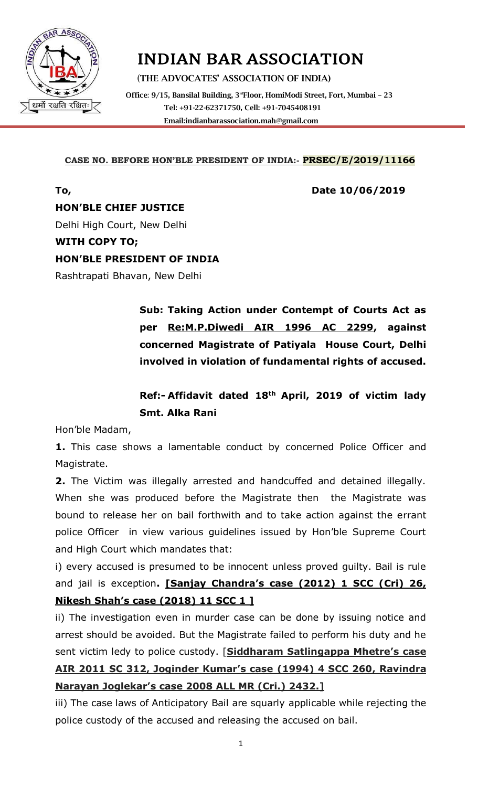

# INDIAN BAR ASSOCIATION

(**THE ADVOCATES' ASSOCIATION OF INDIA) Office**: **9/15, Bansilal Building, 3rdFloor, HomiModi Street, Fort, Mumbai – 23 Tel: +91-22-62371750, Cell: +91-7045408191 Emai[l:indianbarassociation.mah@gmail.com](mailto:indianbarassociation.mah@gmail.com)**

### **CASE NO. BEFORE HON'BLE PRESIDENT OF INDIA:- PRSEC/E/2019/11166**

**To, Date 10/06/2019**

**HON'BLE CHIEF JUSTICE** 

Delhi High Court, New Delhi

### **WITH COPY TO;**

### **HON'BLE PRESIDENT OF INDIA**

Rashtrapati Bhavan, New Delhi

**Sub: Taking Action under Contempt of Courts Act as per Re:M.P.Diwedi AIR 1996 AC 2299, against concerned Magistrate of Patiyala House Court, Delhi involved in violation of fundamental rights of accused.**

# **Ref:- Affidavit dated 18th April, 2019 of victim lady Smt. Alka Rani**

Hon'ble Madam,

**1.** This case shows a lamentable conduct by concerned Police Officer and Magistrate.

**2.** The Victim was illegally arrested and handcuffed and detained illegally. When she was produced before the Magistrate then the Magistrate was bound to release her on bail forthwith and to take action against the errant police Officer in view various guidelines issued by Hon'ble Supreme Court and High Court which mandates that:

i) every accused is presumed to be innocent unless proved guilty. Bail is rule and jail is exception**. [Sanjay Chandra's case (2012) 1 SCC (Cri) 26, Nikesh Shah's case (2018) 11 SCC 1 ]**

ii) The investigation even in murder case can be done by issuing notice and arrest should be avoided. But the Magistrate failed to perform his duty and he sent victim ledy to police custody. [**Siddharam Satlingappa Mhetre's case AIR 2011 SC 312, Joginder Kumar's case (1994) 4 SCC 260, Ravindra Narayan Joglekar's case 2008 ALL MR (Cri.) 2432.]**

iii) The case laws of Anticipatory Bail are squarly applicable while rejecting the police custody of the accused and releasing the accused on bail.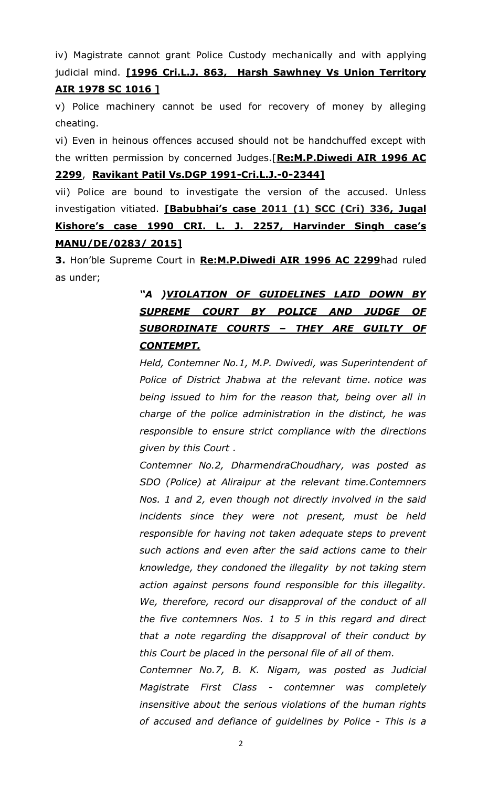iv) Magistrate cannot grant Police Custody mechanically and with applying judicial mind. **[1996 Cri.L.J. 863, Harsh Sawhney Vs Union Territory AIR 1978 SC 1016 ]**

v) Police machinery cannot be used for recovery of money by alleging cheating.

vi) Even in heinous offences accused should not be handchuffed except with the written permission by concerned Judges.[**Re:M.P.Diwedi AIR 1996 AC 2299**, **Ravikant Patil Vs.DGP 1991-Cri.L.J.-0-2344]**

vii) Police are bound to investigate the version of the accused. Unless investigation vitiated. **[Babubhai's case 2011 (1) SCC (Cri) 336, Jugal Kishore's case 1990 CRI. L. J. 2257, Harvinder Singh case's MANU/DE/0283/ 2015]**

**3.** Hon'ble Supreme Court in **Re:M.P.Diwedi AIR 1996 AC 2299**had ruled as under;

# *"A )VIOLATION OF GUIDELINES LAID DOWN BY SUPREME COURT BY POLICE AND JUDGE OF SUBORDINATE COURTS – THEY ARE GUILTY OF CONTEMPT.*

*Held, Contemner No.1, M.P. Dwivedi, was Superintendent of Police of District Jhabwa at the relevant time. notice was being issued to him for the reason that, being over all in charge of the police administration in the distinct, he was responsible to ensure strict compliance with the directions given by this Court .*

*Contemner No.2, DharmendraChoudhary, was posted as SDO (Police) at Aliraipur at the relevant time.Contemners Nos. 1 and 2, even though not directly involved in the said incidents since they were not present, must be held responsible for having not taken adequate steps to prevent such actions and even after the said actions came to their knowledge, they condoned the illegality by not taking stern action against persons found responsible for this illegality.*  We, therefore, record our disapproval of the conduct of all *the five contemners Nos. 1 to 5 in this regard and direct that a note regarding the disapproval of their conduct by this Court be placed in the personal file of all of them.*

*Contemner No.7, B. K. Nigam, was posted as Judicial Magistrate First Class - contemner was completely insensitive about the serious violations of the human rights of accused and defiance of guidelines by Police - This is a*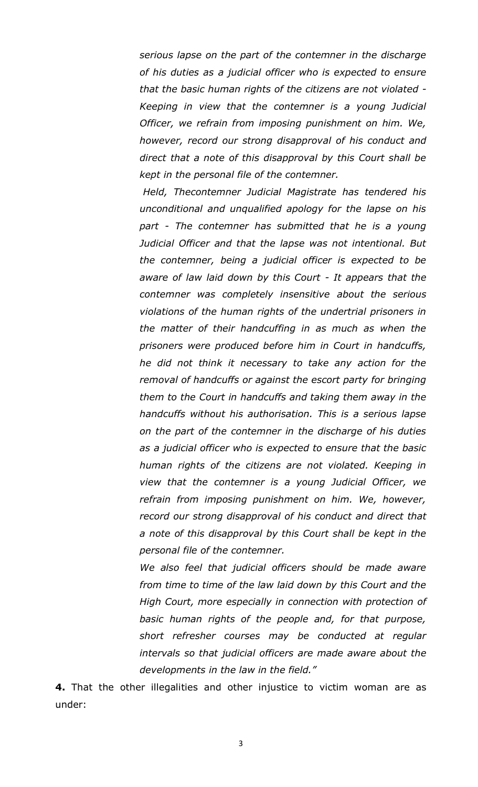*serious lapse on the part of the contemner in the discharge of his duties as a judicial officer who is expected to ensure that the basic human rights of the citizens are not violated - Keeping in view that the contemner is a young Judicial Officer, we refrain from imposing punishment on him. We, however, record our strong disapproval of his conduct and direct that a note of this disapproval by this Court shall be kept in the personal file of the contemner.*

*Held, Thecontemner Judicial Magistrate has tendered his unconditional and unqualified apology for the lapse on his part - The contemner has submitted that he is a young Judicial Officer and that the lapse was not intentional. But the contemner, being a judicial officer is expected to be aware of law laid down by this Court - It appears that the contemner was completely insensitive about the serious violations of the human rights of the undertrial prisoners in the matter of their handcuffing in as much as when the prisoners were produced before him in Court in handcuffs, he did not think it necessary to take any action for the removal of handcuffs or against the escort party for bringing them to the Court in handcuffs and taking them away in the handcuffs without his authorisation. This is a serious lapse on the part of the contemner in the discharge of his duties as a judicial officer who is expected to ensure that the basic human rights of the citizens are not violated. Keeping in view that the contemner is a young Judicial Officer, we refrain from imposing punishment on him. We, however, record our strong disapproval of his conduct and direct that a note of this disapproval by this Court shall be kept in the personal file of the contemner.*

*We also feel that judicial officers should be made aware from time to time of the law laid down by this Court and the High Court, more especially in connection with protection of basic human rights of the people and, for that purpose, short refresher courses may be conducted at regular intervals so that judicial officers are made aware about the developments in the law in the field."*

**4.** That the other illegalities and other injustice to victim woman are as under: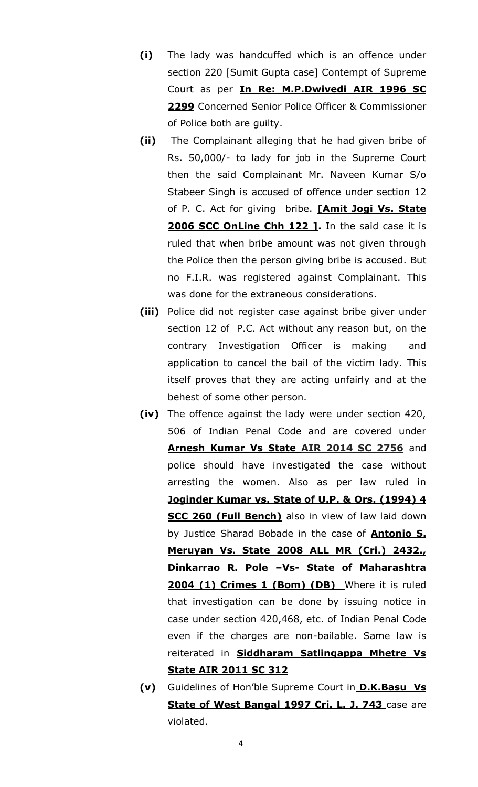- **(i)** The lady was handcuffed which is an offence under section 220 [Sumit Gupta case] Contempt of Supreme Court as per **In Re: M.P.Dwivedi AIR 1996 SC 2299** Concerned Senior Police Officer & Commissioner of Police both are guilty.
- **(ii)** The Complainant alleging that he had given bribe of Rs. 50,000/- to lady for job in the Supreme Court then the said Complainant Mr. Naveen Kumar S/o Stabeer Singh is accused of offence under section 12 of P. C. Act for giving bribe. **[Amit Jogi Vs. State**  2006 SCC OnLine Chh 122 1. In the said case it is ruled that when bribe amount was not given through the Police then the person giving bribe is accused. But no F.I.R. was registered against Complainant. This was done for the extraneous considerations.
- **(iii)** Police did not register case against bribe giver under section 12 of P.C. Act without any reason but, on the contrary Investigation Officer is making and application to cancel the bail of the victim lady. This itself proves that they are acting unfairly and at the behest of some other person.
- **(iv)** The offence against the lady were under section 420, 506 of Indian Penal Code and are covered under **Arnesh Kumar Vs State AIR 2014 SC 2756** and police should have investigated the case without arresting the women. Also as per law ruled in **[Joginder Kumar vs. State of U.P. & Ors.](http://www.indiankanoon.org/doc/768175/) (1994) 4 SCC 260 (Full Bench)** also in view of law laid down by Justice Sharad Bobade in the case of **Antonio S. Meruyan Vs. State 2008 ALL MR (Cri.) 2432., Dinkarrao R. Pole –Vs- State of Maharashtra**  2004 (1) Crimes 1 (Bom) (DB) Where it is ruled that investigation can be done by issuing notice in case under section 420,468, etc. of Indian Penal Code even if the charges are non-bailable. Same law is reiterated in **Siddharam Satlingappa Mhetre Vs State AIR 2011 SC 312**
- **(v)** Guidelines of Hon'ble Supreme Court in **D.K.Basu Vs State of West Bangal 1997 Cri. L. J. 743** case are violated.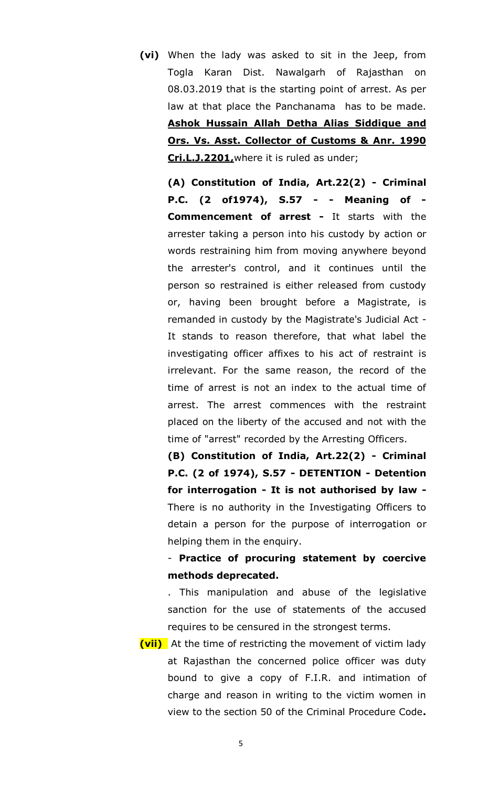**(vi)** When the lady was asked to sit in the Jeep, from Togla Karan Dist. Nawalgarh of Rajasthan on 08.03.2019 that is the starting point of arrest. As per law at that place the Panchanama has to be made. **Ashok Hussain Allah Detha Alias Siddique and Ors. Vs. Asst. Collector of Customs & Anr. 1990 Cri.L.J.2201,**where it is ruled as under;

**(A) Constitution of India, Art.22(2) - Criminal P.C. (2 of1974), S.57 - - Meaning of - Commencement of arrest -** It starts with the arrester taking a person into his custody by action or words restraining him from moving anywhere beyond the arrester's control, and it continues until the person so restrained is either released from custody or, having been brought before a Magistrate, is remanded in custody by the Magistrate's Judicial Act - It stands to reason therefore, that what label the investigating officer affixes to his act of restraint is irrelevant. For the same reason, the record of the time of arrest is not an index to the actual time of arrest. The arrest commences with the restraint placed on the liberty of the accused and not with the time of "arrest" recorded by the Arresting Officers.

**(B) Constitution of India, Art.22(2) - Criminal P.C. (2 of 1974), S.57 - DETENTION - Detention for interrogation - It is not authorised by law -** There is no authority in the Investigating Officers to detain a person for the purpose of interrogation or helping them in the enquiry.

- **Practice of procuring statement by coercive methods deprecated.**

. This manipulation and abuse of the legislative sanction for the use of statements of the accused requires to be censured in the strongest terms.

**(vii)** At the time of restricting the movement of victim lady at Rajasthan the concerned police officer was duty bound to give a copy of F.I.R. and intimation of charge and reason in writing to the victim women in view to the section 50 of the Criminal Procedure Code**.**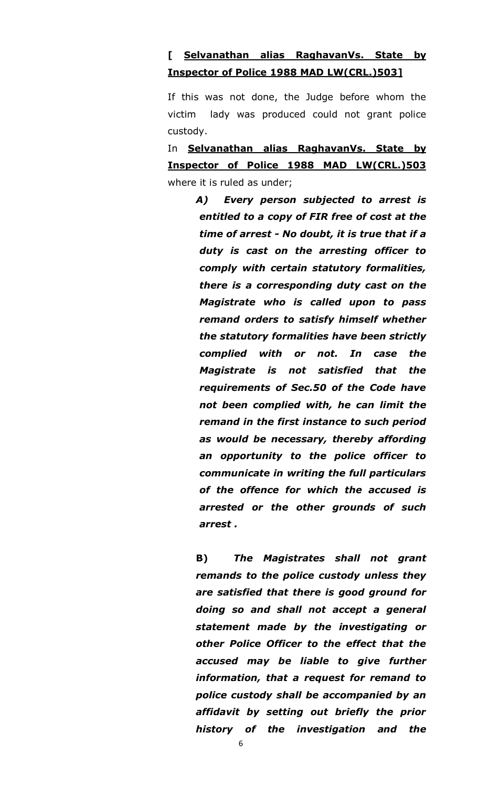### **[ Selvanathan alias RaghavanVs. State by Inspector of Police 1988 MAD LW(CRL.)503]**

If this was not done, the Judge before whom the victim lady was produced could not grant police custody.

In **Selvanathan alias RaghavanVs. State by Inspector of Police 1988 MAD LW(CRL.)503** where it is ruled as under;

> *A) Every person subjected to arrest is entitled to a copy of FIR free of cost at the time of arrest - No doubt, it is true that if a duty is cast on the arresting officer to comply with certain statutory formalities, there is a corresponding duty cast on the Magistrate who is called upon to pass remand orders to satisfy himself whether the statutory formalities have been strictly complied with or not. In case the Magistrate is not satisfied that the requirements of Sec.50 of the Code have not been complied with, he can limit the remand in the first instance to such period as would be necessary, thereby affording an opportunity to the police officer to communicate in writing the full particulars of the offence for which the accused is arrested or the other grounds of such arrest .*

> **B)** *The Magistrates shall not grant remands to the police custody unless they are satisfied that there is good ground for doing so and shall not accept a general statement made by the investigating or other Police Officer to the effect that the accused may be liable to give further information, that a request for remand to police custody shall be accompanied by an affidavit by setting out briefly the prior history of the investigation and the*

> > 6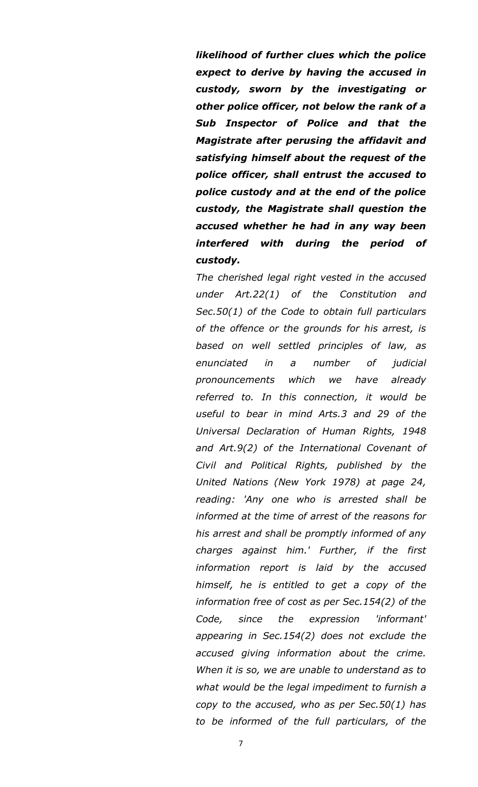*likelihood of further clues which the police expect to derive by having the accused in custody, sworn by the investigating or other police officer, not below the rank of a Sub Inspector of Police and that the Magistrate after perusing the affidavit and satisfying himself about the request of the police officer, shall entrust the accused to police custody and at the end of the police custody, the Magistrate shall question the accused whether he had in any way been interfered with during the period of custody.*

*The cherished legal right vested in the accused under Art.22(1) of the Constitution and Sec.50(1) of the Code to obtain full particulars of the offence or the grounds for his arrest, is based on well settled principles of law, as enunciated in a number of judicial pronouncements which we have already referred to. In this connection, it would be useful to bear in mind Arts.3 and 29 of the Universal Declaration of Human Rights, 1948 and Art.9(2) of the International Covenant of Civil and Political Rights, published by the United Nations (New York 1978) at page 24, reading: 'Any one who is arrested shall be informed at the time of arrest of the reasons for his arrest and shall be promptly informed of any charges against him.' Further, if the first information report is laid by the accused himself, he is entitled to get a copy of the information free of cost as per Sec.154(2) of the Code, since the expression 'informant' appearing in Sec.154(2) does not exclude the accused giving information about the crime. When it is so, we are unable to understand as to what would be the legal impediment to furnish a copy to the accused, who as per Sec.50(1) has to be informed of the full particulars, of the*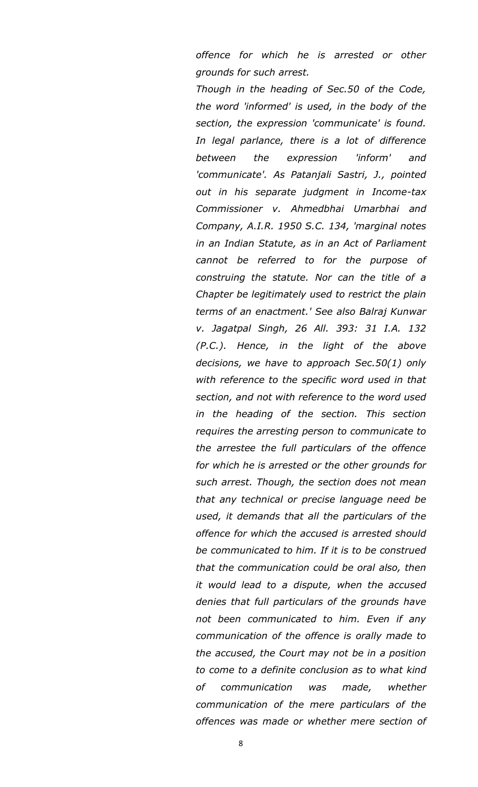*offence for which he is arrested or other grounds for such arrest.*

*Though in the heading of Sec.50 of the Code, the word 'informed' is used, in the body of the section, the expression 'communicate' is found. In legal parlance, there is a lot of difference between the expression 'inform' and 'communicate'. As Patanjali Sastri, J., pointed out in his separate judgment in Income-tax Commissioner v. Ahmedbhai Umarbhai and Company, A.I.R. 1950 S.C. 134, 'marginal notes in an Indian Statute, as in an Act of Parliament cannot be referred to for the purpose of construing the statute. Nor can the title of a Chapter be legitimately used to restrict the plain terms of an enactment.' See also Balraj Kunwar v. Jagatpal Singh, 26 All. 393: 31 I.A. 132 (P.C.). Hence, in the light of the above decisions, we have to approach Sec.50(1) only with reference to the specific word used in that section, and not with reference to the word used in the heading of the section. This section requires the arresting person to communicate to the arrestee the full particulars of the offence for which he is arrested or the other grounds for such arrest. Though, the section does not mean that any technical or precise language need be used, it demands that all the particulars of the offence for which the accused is arrested should be communicated to him. If it is to be construed that the communication could be oral also, then it would lead to a dispute, when the accused denies that full particulars of the grounds have not been communicated to him. Even if any communication of the offence is orally made to the accused, the Court may not be in a position to come to a definite conclusion as to what kind of communication was made, whether communication of the mere particulars of the offences was made or whether mere section of* 

8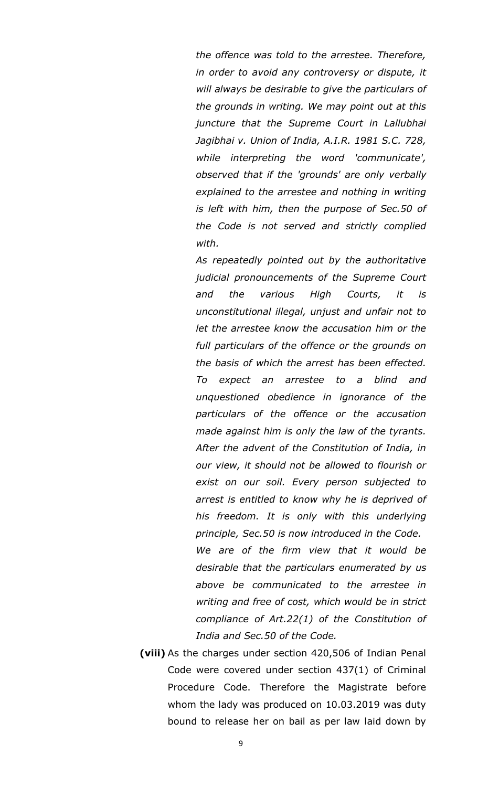*the offence was told to the arrestee. Therefore, in order to avoid any controversy or dispute, it will always be desirable to give the particulars of the grounds in writing. We may point out at this juncture that the Supreme Court in Lallubhai Jagibhai v. Union of India, A.I.R. 1981 S.C. 728, while interpreting the word 'communicate', observed that if the 'grounds' are only verbally explained to the arrestee and nothing in writing is left with him, then the purpose of Sec.50 of the Code is not served and strictly complied with.*

*As repeatedly pointed out by the authoritative judicial pronouncements of the Supreme Court and the various High Courts, it is unconstitutional illegal, unjust and unfair not to let the arrestee know the accusation him or the full particulars of the offence or the grounds on the basis of which the arrest has been effected. To expect an arrestee to a blind and unquestioned obedience in ignorance of the particulars of the offence or the accusation made against him is only the law of the tyrants. After the advent of the Constitution of India, in our view, it should not be allowed to flourish or exist on our soil. Every person subjected to arrest is entitled to know why he is deprived of his freedom. It is only with this underlying principle, Sec.50 is now introduced in the Code. We are of the firm view that it would be desirable that the particulars enumerated by us above be communicated to the arrestee in writing and free of cost, which would be in strict* 

*compliance of Art.22(1) of the Constitution of* 

**(viii)** As the charges under section 420,506 of Indian Penal Code were covered under section 437(1) of Criminal Procedure Code. Therefore the Magistrate before whom the lady was produced on 10.03.2019 was duty bound to release her on bail as per law laid down by

*India and Sec.50 of the Code.*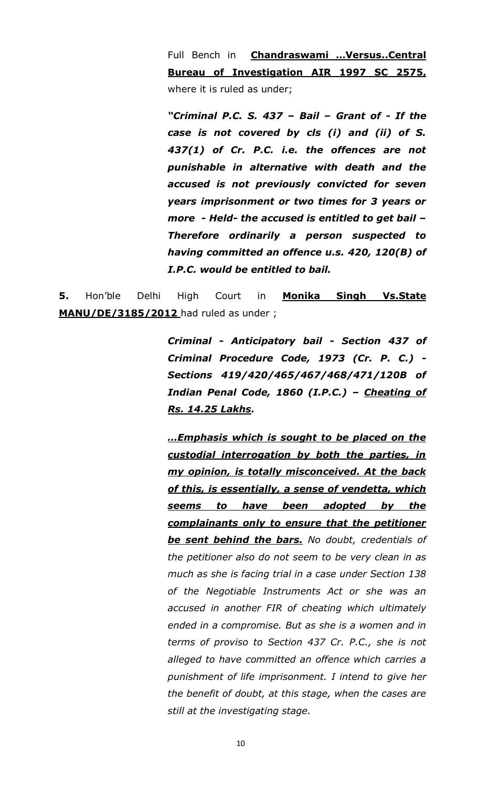Full Bench in **Chandraswami …Versus..Central Bureau of Investigation AIR 1997 SC 2575,**  where it is ruled as under;

*"Criminal P.C. S. 437 – Bail – Grant of - If the case is not covered by cls (i) and (ii) of S. 437(1) of Cr. P.C. i.e. the offences are not punishable in alternative with death and the accused is not previously convicted for seven years imprisonment or two times for 3 years or more - Held- the accused is entitled to get bail – Therefore ordinarily a person suspected to having committed an offence u.s. 420, 120(B) of I.P.C. would be entitled to bail.*

**5.** Hon'ble Delhi High Court in **Monika Singh Vs.State MANU/DE/3185/2012** had ruled as under ;

> *Criminal - Anticipatory bail - Section 437 of Criminal Procedure Code, 1973 (Cr. P. C.) - Sections 419/420/465/467/468/471/120B of Indian Penal Code, 1860 (I.P.C.) – Cheating of Rs. 14.25 Lakhs.*

> *…Emphasis which is sought to be placed on the custodial interrogation by both the parties, in my opinion, is totally misconceived. At the back of this, is essentially, a sense of vendetta, which seems to have been adopted by the complainants only to ensure that the petitioner be sent behind the bars. No doubt, credentials of the petitioner also do not seem to be very clean in as much as she is facing trial in a case under Section 138 of the Negotiable Instruments Act or she was an accused in another FIR of cheating which ultimately ended in a compromise. But as she is a women and in terms of proviso to Section 437 Cr. P.C., she is not alleged to have committed an offence which carries a punishment of life imprisonment. I intend to give her the benefit of doubt, at this stage, when the cases are still at the investigating stage.*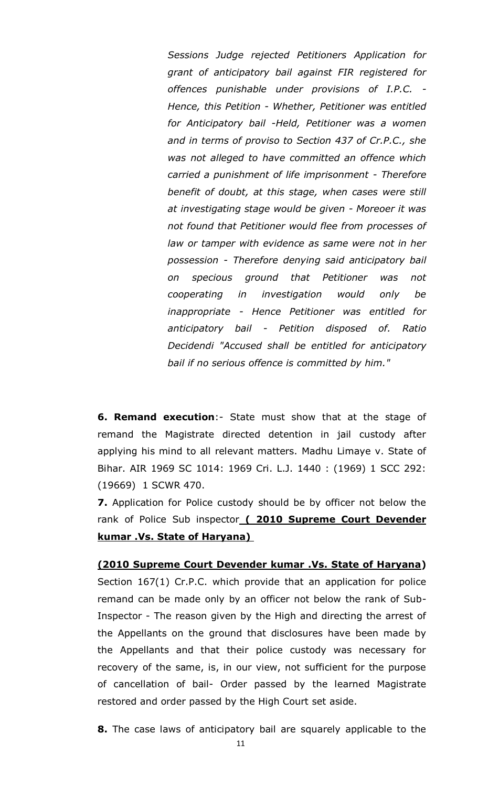*Sessions Judge rejected Petitioners Application for grant of anticipatory bail against FIR registered for offences punishable under provisions of I.P.C. - Hence, this Petition - Whether, Petitioner was entitled for Anticipatory bail -Held, Petitioner was a women and in terms of proviso to Section 437 of Cr.P.C., she was not alleged to have committed an offence which carried a punishment of life imprisonment - Therefore benefit of doubt, at this stage, when cases were still at investigating stage would be given - Moreoer it was not found that Petitioner would flee from processes of law or tamper with evidence as same were not in her possession - Therefore denying said anticipatory bail on specious ground that Petitioner was not cooperating in investigation would only be inappropriate - Hence Petitioner was entitled for anticipatory bail - Petition disposed of. Ratio Decidendi "Accused shall be entitled for anticipatory bail if no serious offence is committed by him."*

**6. Remand execution**:- State must show that at the stage of remand the Magistrate directed detention in jail custody after applying his mind to all relevant matters. Madhu Limaye v. State of Bihar. AIR 1969 SC 1014: 1969 Cri. L.J. 1440 : (1969) 1 SCC 292: (19669) 1 SCWR 470.

**7.** Application for Police custody should be by officer not below the rank of Police Sub inspector **( 2010 Supreme Court Devender kumar .Vs. State of Haryana)** 

### **(2010 Supreme Court Devender kumar .Vs. State of Haryana)**

Section 167(1) Cr.P.C. which provide that an application for police remand can be made only by an officer not below the rank of Sub-Inspector - The reason given by the High and directing the arrest of the Appellants on the ground that disclosures have been made by the Appellants and that their police custody was necessary for recovery of the same, is, in our view, not sufficient for the purpose of cancellation of bail- Order passed by the learned Magistrate restored and order passed by the High Court set aside.

**8.** The case laws of anticipatory bail are squarely applicable to the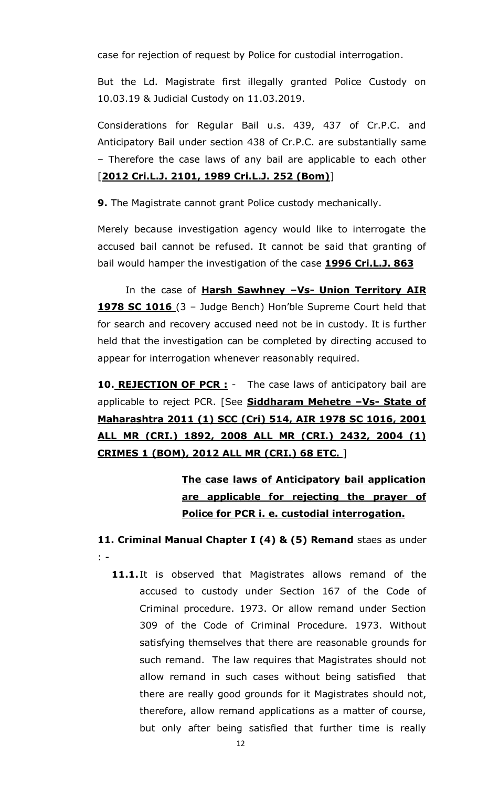case for rejection of request by Police for custodial interrogation.

But the Ld. Magistrate first illegally granted Police Custody on 10.03.19 & Judicial Custody on 11.03.2019.

Considerations for Regular Bail u.s. 439, 437 of Cr.P.C. and Anticipatory Bail under section 438 of Cr.P.C. are substantially same – Therefore the case laws of any bail are applicable to each other [**2012 Cri.L.J. 2101, 1989 Cri.L.J. 252 (Bom)**]

**9.** The Magistrate cannot grant Police custody mechanically.

Merely because investigation agency would like to interrogate the accused bail cannot be refused. It cannot be said that granting of bail would hamper the investigation of the case **1996 Cri.L.J. 863**

In the case of **Harsh Sawhney –Vs- Union Territory AIR 1978 SC 1016** (3 – Judge Bench) Hon'ble Supreme Court held that for search and recovery accused need not be in custody. It is further held that the investigation can be completed by directing accused to appear for interrogation whenever reasonably required.

**10. REJECTION OF PCR :** - The case laws of anticipatory bail are applicable to reject PCR. [See **Siddharam Mehetre –Vs- State of Maharashtra 2011 (1) SCC (Cri) 514, AIR 1978 SC 1016, 2001 ALL MR (CRI.) 1892, 2008 ALL MR (CRI.) 2432, 2004 (1) CRIMES 1 (BOM), 2012 ALL MR (CRI.) 68 ETC.** ]

> **The case laws of Anticipatory bail application are applicable for rejecting the prayer of Police for PCR i. e. custodial interrogation.**

**11. Criminal Manual Chapter I (4) & (5) Remand** staes as under : -

**11.1.** It is observed that Magistrates allows remand of the accused to custody under Section 167 of the Code of Criminal procedure. 1973. Or allow remand under Section 309 of the Code of Criminal Procedure. 1973. Without satisfying themselves that there are reasonable grounds for such remand. The law requires that Magistrates should not allow remand in such cases without being satisfied that there are really good grounds for it Magistrates should not, therefore, allow remand applications as a matter of course, but only after being satisfied that further time is really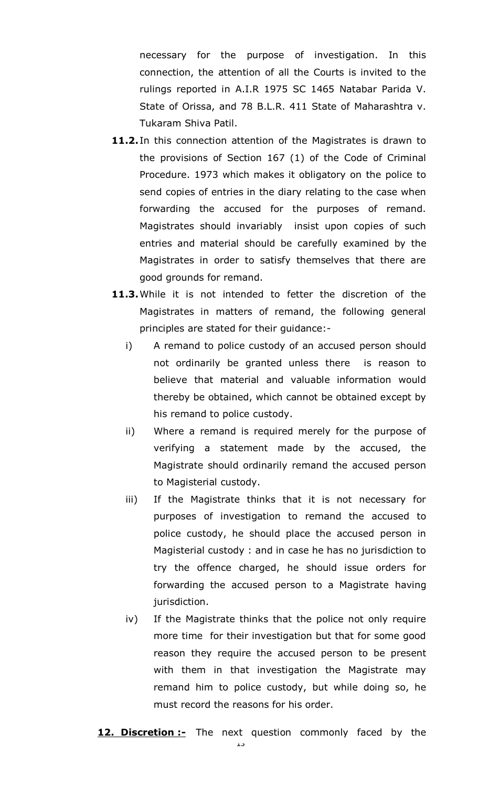necessary for the purpose of investigation. In this connection, the attention of all the Courts is invited to the rulings reported in A.I.R 1975 SC 1465 Natabar Parida V. State of Orissa, and 78 B.L.R. 411 State of Maharashtra v. Tukaram Shiva Patil.

- 11.2. In this connection attention of the Magistrates is drawn to the provisions of Section 167 (1) of the Code of Criminal Procedure. 1973 which makes it obligatory on the police to send copies of entries in the diary relating to the case when forwarding the accused for the purposes of remand. Magistrates should invariably insist upon copies of such entries and material should be carefully examined by the Magistrates in order to satisfy themselves that there are good grounds for remand.
- **11.3.**While it is not intended to fetter the discretion of the Magistrates in matters of remand, the following general principles are stated for their guidance:
	- i) A remand to police custody of an accused person should not ordinarily be granted unless there is reason to believe that material and valuable information would thereby be obtained, which cannot be obtained except by his remand to police custody.
	- ii) Where a remand is required merely for the purpose of verifying a statement made by the accused, the Magistrate should ordinarily remand the accused person to Magisterial custody.
	- iii) If the Magistrate thinks that it is not necessary for purposes of investigation to remand the accused to police custody, he should place the accused person in Magisterial custody : and in case he has no jurisdiction to try the offence charged, he should issue orders for forwarding the accused person to a Magistrate having jurisdiction.
	- iv) If the Magistrate thinks that the police not only require more time for their investigation but that for some good reason they require the accused person to be present with them in that investigation the Magistrate may remand him to police custody, but while doing so, he must record the reasons for his order.
- **12. Discretion :-** The next question commonly faced by the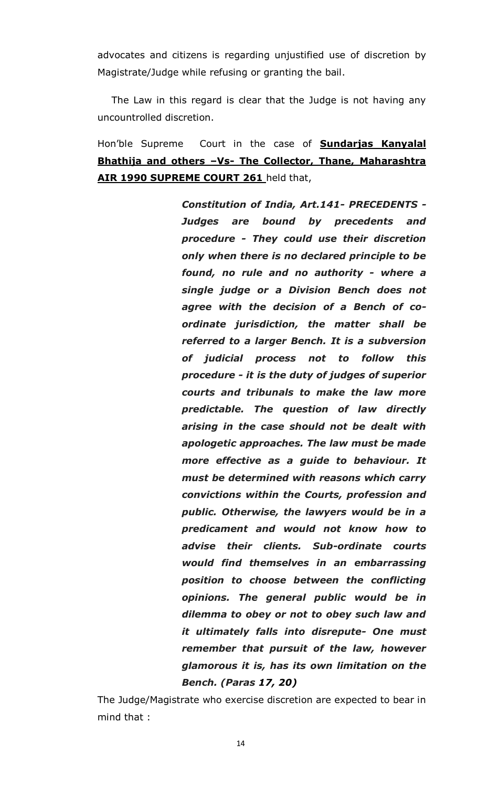advocates and citizens is regarding unjustified use of discretion by Magistrate/Judge while refusing or granting the bail.

The Law in this regard is clear that the Judge is not having any uncountrolled discretion.

Hon'ble Supreme Court in the case of **Sundarjas Kanyalal Bhathija and others –Vs- The Collector, Thane, Maharashtra AIR 1990 SUPREME COURT 261** held that,

> *Constitution of India, Art.141- PRECEDENTS - Judges are bound by precedents and procedure - They could use their discretion only when there is no declared principle to be found, no rule and no authority - where a single judge or a Division Bench does not agree with the decision of a Bench of coordinate jurisdiction, the matter shall be referred to a larger Bench. It is a subversion of judicial process not to follow this procedure - it is the duty of judges of superior courts and tribunals to make the law more predictable. The question of law directly arising in the case should not be dealt with apologetic approaches. The law must be made more effective as a guide to behaviour. It must be determined with reasons which carry convictions within the Courts, profession and public. Otherwise, the lawyers would be in a predicament and would not know how to advise their clients. Sub-ordinate courts would find themselves in an embarrassing position to choose between the conflicting opinions. The general public would be in dilemma to obey or not to obey such law and it ultimately falls into disrepute- One must remember that pursuit of the law, however glamorous it is, has its own limitation on the Bench. (Paras 17, 20)*

The Judge/Magistrate who exercise discretion are expected to bear in mind that :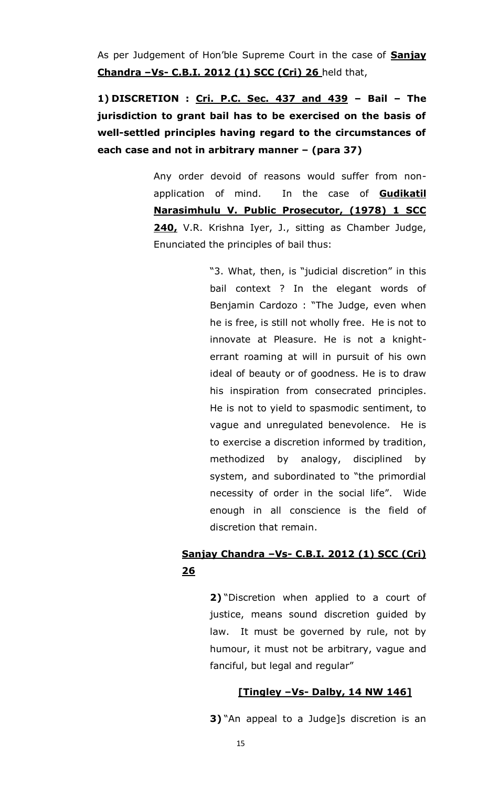As per Judgement of Hon'ble Supreme Court in the case of **Sanjay Chandra –Vs- C.B.I. 2012 (1) SCC (Cri) 26** held that,

**1) DISCRETION : Cri. P.C. Sec. 437 and 439 – Bail – The jurisdiction to grant bail has to be exercised on the basis of well-settled principles having regard to the circumstances of each case and not in arbitrary manner – (para 37)**

> Any order devoid of reasons would suffer from nonapplication of mind. In the case of **Gudikatil Narasimhulu V. Public Prosecutor, (1978) 1 SCC 240,** V.R. Krishna Iyer, J., sitting as Chamber Judge, Enunciated the principles of bail thus:

> > "3. What, then, is "judicial discretion" in this bail context ? In the elegant words of Benjamin Cardozo : "The Judge, even when he is free, is still not wholly free. He is not to innovate at Pleasure. He is not a knighterrant roaming at will in pursuit of his own ideal of beauty or of goodness. He is to draw his inspiration from consecrated principles. He is not to yield to spasmodic sentiment, to vague and unregulated benevolence. He is to exercise a discretion informed by tradition, methodized by analogy, disciplined by system, and subordinated to "the primordial necessity of order in the social life". Wide enough in all conscience is the field of discretion that remain.

### **Sanjay Chandra –Vs- C.B.I. 2012 (1) SCC (Cri) 26**

**2)** "Discretion when applied to a court of justice, means sound discretion guided by law. It must be governed by rule, not by humour, it must not be arbitrary, vague and fanciful, but legal and regular"

### **[Tingley –Vs- Dalby, 14 NW 146]**

**3)** "An appeal to a Judge]s discretion is an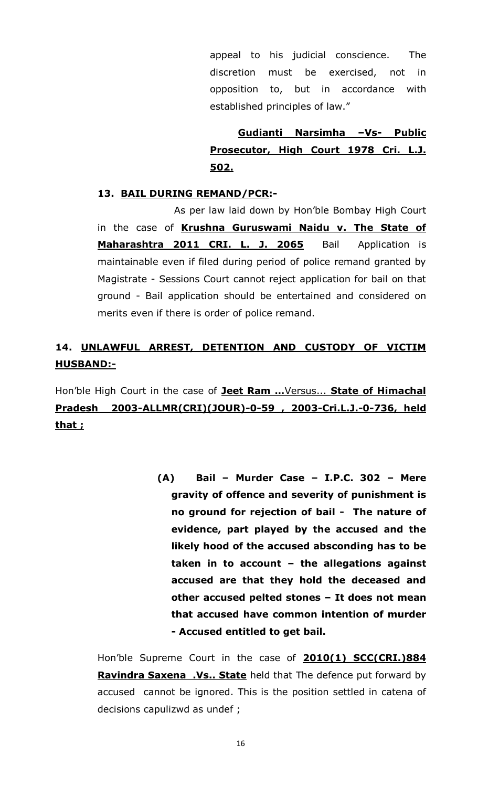appeal to his judicial conscience. The discretion must be exercised, not in opposition to, but in accordance with established principles of law."

**Gudianti Narsimha –Vs- Public Prosecutor, High Court 1978 Cri. L.J. 502.**

### **13. BAIL DURING REMAND/PCR:-**

As per law laid down by Hon'ble Bombay High Court in the case of **Krushna Guruswami Naidu v. The State of Maharashtra 2011 CRI. L. J. 2065** Bail Application is maintainable even if filed during period of police remand granted by Magistrate - Sessions Court cannot reject application for bail on that ground - Bail application should be entertained and considered on merits even if there is order of police remand.

# **14. UNLAWFUL ARREST, DETENTION AND CUSTODY OF VICTIM HUSBAND:-**

Hon'ble High Court in the case of **Jeet Ram …**Versus... **State of Himachal Pradesh 2003-ALLMR(CRI)(JOUR)-0-59 , 2003-Cri.L.J.-0-736, held that ;**

> **(A) Bail – Murder Case – I.P.C. 302 – Mere gravity of offence and severity of punishment is no ground for rejection of bail - The nature of evidence, part played by the accused and the likely hood of the accused absconding has to be taken in to account – the allegations against accused are that they hold the deceased and other accused pelted stones – It does not mean that accused have common intention of murder - Accused entitled to get bail.**

Hon'ble Supreme Court in the case of **2010(1) SCC(CRI.)884 Ravindra Saxena .Vs.. State** held that The defence put forward by accused cannot be ignored. This is the position settled in catena of decisions capulizwd as undef ;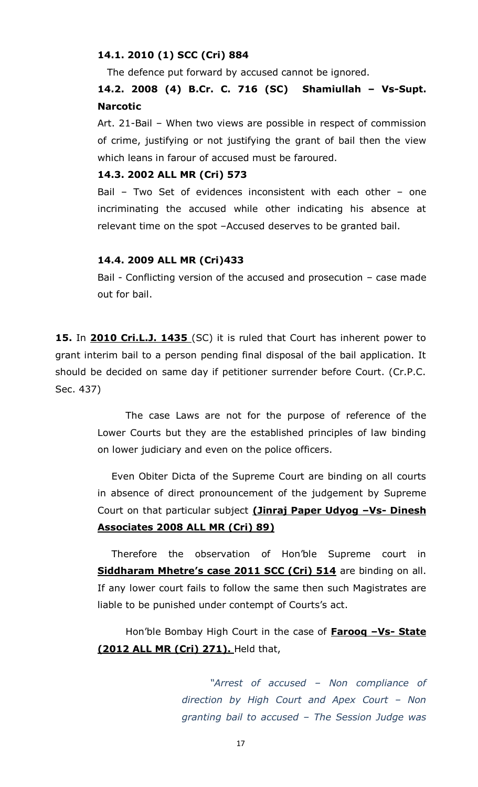#### **14.1. 2010 (1) SCC (Cri) 884**

The defence put forward by accused cannot be ignored.

### **14.2. 2008 (4) B.Cr. C. 716 (SC) Shamiullah – Vs-Supt. Narcotic**

Art. 21-Bail – When two views are possible in respect of commission of crime, justifying or not justifying the grant of bail then the view which leans in farour of accused must be faroured.

#### **14.3. 2002 ALL MR (Cri) 573**

Bail – Two Set of evidences inconsistent with each other – one incriminating the accused while other indicating his absence at relevant time on the spot –Accused deserves to be granted bail.

#### **14.4. 2009 ALL MR (Cri)433**

Bail - Conflicting version of the accused and prosecution – case made out for bail.

**15.** In **2010 Cri.L.J. 1435** (SC) it is ruled that Court has inherent power to grant interim bail to a person pending final disposal of the bail application. It should be decided on same day if petitioner surrender before Court. (Cr.P.C. Sec. 437)

> The case Laws are not for the purpose of reference of the Lower Courts but they are the established principles of law binding on lower judiciary and even on the police officers.

> Even Obiter Dicta of the Supreme Court are binding on all courts in absence of direct pronouncement of the judgement by Supreme Court on that particular subject **(Jinraj Paper Udyog –Vs- Dinesh Associates 2008 ALL MR (Cri) 89)**

> Therefore the observation of Hon'ble Supreme court in **Siddharam Mhetre's case 2011 SCC (Cri) 514** are binding on all. If any lower court fails to follow the same then such Magistrates are liable to be punished under contempt of Courts's act.

> Hon'ble Bombay High Court in the case of **Farooq –Vs- State (2012 ALL MR (Cri) 271).** Held that,

> > *"Arrest of accused – Non compliance of direction by High Court and Apex Court – Non granting bail to accused – The Session Judge was*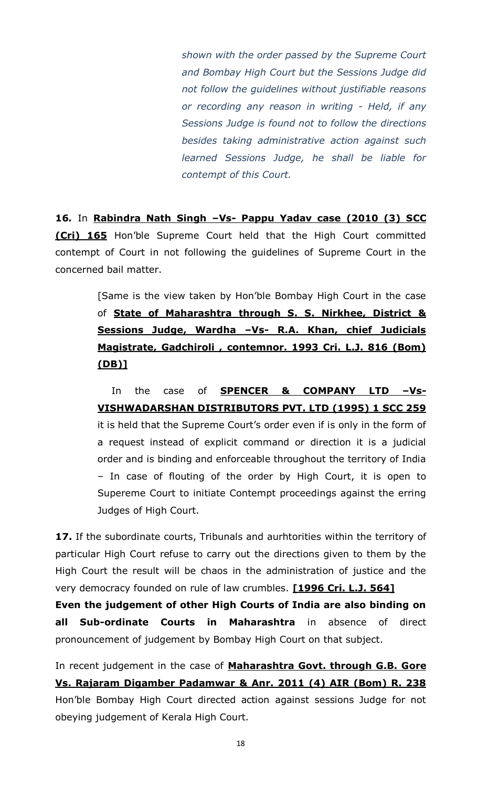*shown with the order passed by the Supreme Court and Bombay High Court but the Sessions Judge did not follow the guidelines without justifiable reasons or recording any reason in writing - Held, if any Sessions Judge is found not to follow the directions besides taking administrative action against such learned Sessions Judge, he shall be liable for contempt of this Court.*

**16***.* In **Rabindra Nath Singh –Vs- Pappu Yadav case (2010 (3) SCC (Cri) 165** Hon'ble Supreme Court held that the High Court committed contempt of Court in not following the guidelines of Supreme Court in the concerned bail matter.

> [Same is the view taken by Hon'ble Bombay High Court in the case of **State of Maharashtra through S. S. Nirkhee, District & Sessions Judge, Wardha –Vs- R.A. Khan, chief Judicials Magistrate, Gadchiroli , contemnor. 1993 Cri. L.J. 816 (Bom) (DB)]**

> In the case of **SPENCER & COMPANY LTD –Vs-VISHWADARSHAN DISTRIBUTORS PVT. LTD (1995) 1 SCC 259**  it is held that the Supreme Court's order even if is only in the form of a request instead of explicit command or direction it is a judicial order and is binding and enforceable throughout the territory of India – In case of flouting of the order by High Court, it is open to Supereme Court to initiate Contempt proceedings against the erring Judges of High Court.

**17.** If the subordinate courts, Tribunals and aurhtorities within the territory of particular High Court refuse to carry out the directions given to them by the High Court the result will be chaos in the administration of justice and the very democracy founded on rule of law crumbles. **[1996 Cri. L.J. 564]**

**Even the judgement of other High Courts of India are also binding on all Sub-ordinate Courts in Maharashtra** in absence of direct pronouncement of judgement by Bombay High Court on that subject.

In recent judgement in the case of **Maharashtra Govt. through G.B. Gore Vs. Rajaram Digamber Padamwar & Anr. 2011 (4) AIR (Bom) R. 238** Hon'ble Bombay High Court directed action against sessions Judge for not obeying judgement of Kerala High Court.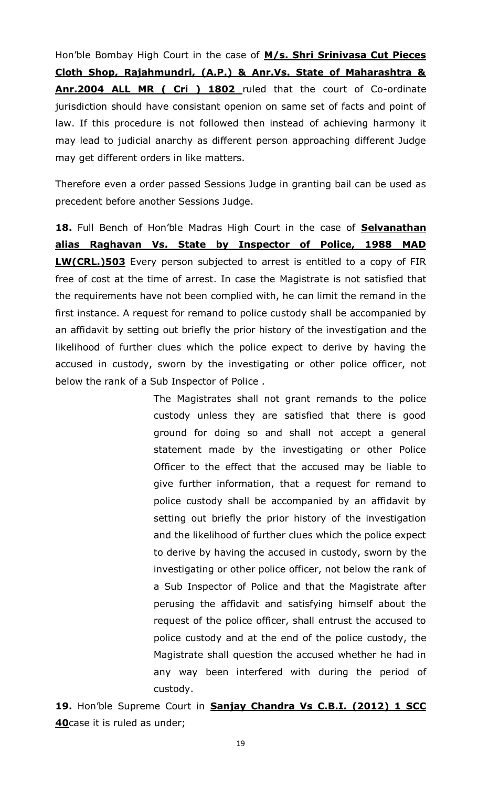Hon'ble Bombay High Court in the case of **M/s. Shri Srinivasa Cut Pieces Cloth Shop, Rajahmundri, (A.P.) & Anr.Vs. State of Maharashtra & Anr.2004 ALL MR ( Cri ) 1802** ruled that the court of Co-ordinate jurisdiction should have consistant openion on same set of facts and point of law. If this procedure is not followed then instead of achieving harmony it may lead to judicial anarchy as different person approaching different Judge may get different orders in like matters.

Therefore even a order passed Sessions Judge in granting bail can be used as precedent before another Sessions Judge.

**18.** Full Bench of Hon'ble Madras High Court in the case of **Selvanathan alias Raghavan Vs. State by Inspector of Police, 1988 MAD LW(CRL.)503** Every person subjected to arrest is entitled to a copy of FIR free of cost at the time of arrest. In case the Magistrate is not satisfied that the requirements have not been complied with, he can limit the remand in the first instance. A request for remand to police custody shall be accompanied by an affidavit by setting out briefly the prior history of the investigation and the likelihood of further clues which the police expect to derive by having the accused in custody, sworn by the investigating or other police officer, not below the rank of a Sub Inspector of Police .

> The Magistrates shall not grant remands to the police custody unless they are satisfied that there is good ground for doing so and shall not accept a general statement made by the investigating or other Police Officer to the effect that the accused may be liable to give further information, that a request for remand to police custody shall be accompanied by an affidavit by setting out briefly the prior history of the investigation and the likelihood of further clues which the police expect to derive by having the accused in custody, sworn by the investigating or other police officer, not below the rank of a Sub Inspector of Police and that the Magistrate after perusing the affidavit and satisfying himself about the request of the police officer, shall entrust the accused to police custody and at the end of the police custody, the Magistrate shall question the accused whether he had in any way been interfered with during the period of custody.

**19.** Hon'ble Supreme Court in **Sanjay Chandra Vs C.B.I. (2012) 1 SCC 40**case it is ruled as under;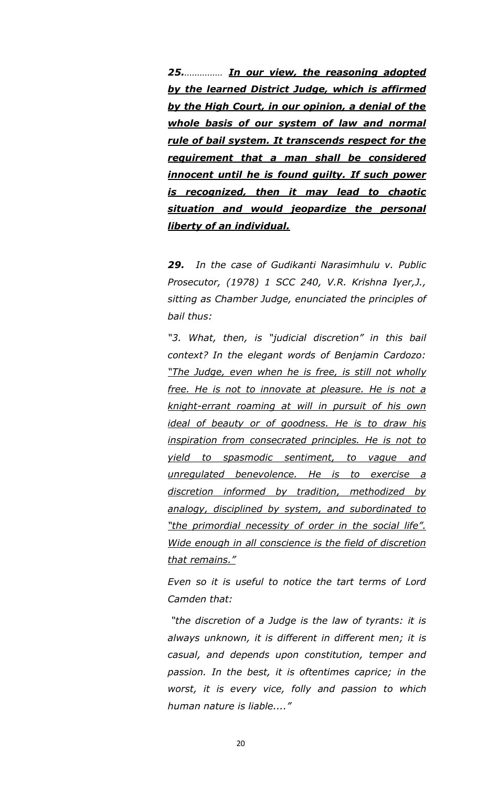*25.…………… In our view, the reasoning adopted by the learned District Judge, which is affirmed by the High Court, in our opinion, a denial of the whole basis of our system of law and normal rule of bail system. It transcends respect for the requirement that a man shall be considered innocent until he is found guilty. If such power is recognized, then it may lead to chaotic situation and would jeopardize the personal liberty of an individual.*

*29. In the case of Gudikanti Narasimhulu v. Public Prosecutor, (1978) 1 SCC 240, V.R. Krishna Iyer,J., sitting as Chamber Judge, enunciated the principles of bail thus:*

*"3. What, then, is "judicial discretion" in this bail context? In the elegant words of Benjamin Cardozo: "The Judge, even when he is free, is still not wholly free. He is not to innovate at pleasure. He is not a knight-errant roaming at will in pursuit of his own ideal of beauty or of goodness. He is to draw his inspiration from consecrated principles. He is not to yield to spasmodic sentiment, to vague and unregulated benevolence. He is to exercise a discretion informed by tradition, methodized by analogy, disciplined by system, and subordinated to "the primordial necessity of order in the social life". Wide enough in all conscience is the field of discretion that remains."*

*Even so it is useful to notice the tart terms of Lord Camden that:*

*"the discretion of a Judge is the law of tyrants: it is always unknown, it is different in different men; it is casual, and depends upon constitution, temper and passion. In the best, it is oftentimes caprice; in the worst, it is every vice, folly and passion to which human nature is liable...."*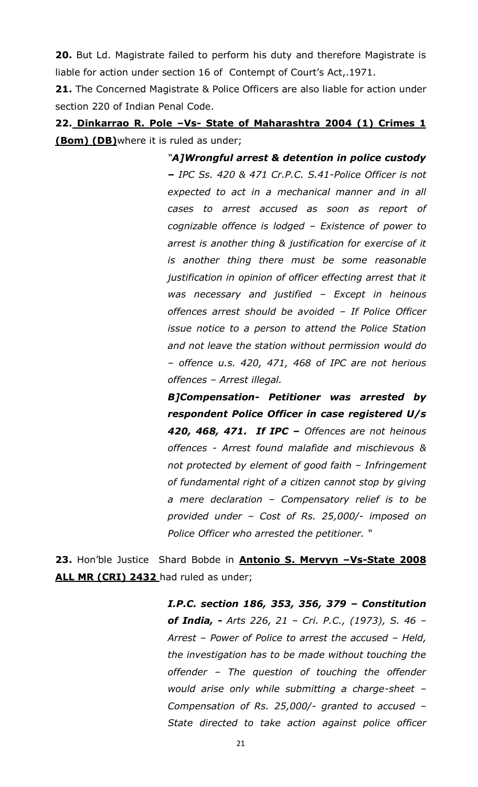**20.** But Ld. Magistrate failed to perform his duty and therefore Magistrate is liable for action under section 16 of Contempt of Court's Act,.1971.

**21.** The Concerned Magistrate & Police Officers are also liable for action under section 220 of Indian Penal Code.

**22. Dinkarrao R. Pole –Vs- State of Maharashtra 2004 (1) Crimes 1 (Bom) (DB)**where it is ruled as under;

> *"A]Wrongful arrest & detention in police custody – IPC Ss. 420 & 471 Cr.P.C. S.41-Police Officer is not expected to act in a mechanical manner and in all cases to arrest accused as soon as report of cognizable offence is lodged – Existence of power to arrest is another thing & justification for exercise of it is another thing there must be some reasonable justification in opinion of officer effecting arrest that it was necessary and justified – Except in heinous offences arrest should be avoided – If Police Officer issue notice to a person to attend the Police Station and not leave the station without permission would do – offence u.s. 420, 471, 468 of IPC are not herious offences – Arrest illegal.*

> *B]Compensation- Petitioner was arrested by respondent Police Officer in case registered U/s 420, 468, 471. If IPC – Offences are not heinous offences - Arrest found malafide and mischievous & not protected by element of good faith – Infringement of fundamental right of a citizen cannot stop by giving a mere declaration – Compensatory relief is to be provided under – Cost of Rs. 25,000/- imposed on Police Officer who arrested the petitioner. "*

**23.** Hon'ble Justice Shard Bobde in **Antonio S. Mervyn –Vs-State 2008 ALL MR (CRI) 2432** had ruled as under;

> *I.P.C. section 186, 353, 356, 379 – Constitution of India, - Arts 226, 21 – Cri. P.C., (1973), S. 46 – Arrest – Power of Police to arrest the accused – Held, the investigation has to be made without touching the offender – The question of touching the offender would arise only while submitting a charge-sheet – Compensation of Rs. 25,000/- granted to accused – State directed to take action against police officer*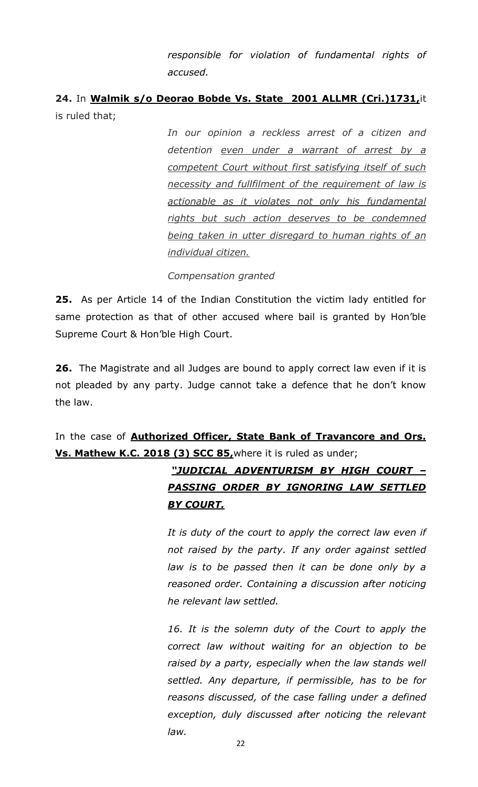*responsible for violation of fundamental rights of accused.*

# **24.** In **Walmik s/o Deorao Bobde Vs. State 2001 ALLMR (Cri.)1731,**it is ruled that;

*In our opinion a reckless arrest of a citizen and detention even under a warrant of arrest by a competent Court without first satisfying itself of such necessity and fullfilment of the requirement of law is actionable as it violates not only his fundamental rights but such action deserves to be condemned being taken in utter disregard to human rights of an individual citizen.*

*Compensation granted*

**25.** As per Article 14 of the Indian Constitution the victim lady entitled for same protection as that of other accused where bail is granted by Hon'ble Supreme Court & Hon'ble High Court.

**26.** The Magistrate and all Judges are bound to apply correct law even if it is not pleaded by any party. Judge cannot take a defence that he don't know the law.

# In the case of **Authorized Officer, State Bank of Travancore and Ors. Vs. Mathew K.C. 2018 (3) SCC 85,**where it is ruled as under;

# *"JUDICIAL ADVENTURISM BY HIGH COURT – PASSING ORDER BY IGNORING LAW SETTLED BY COURT.*

*It is duty of the court to apply the correct law even if not raised by the party. If any order against settled law is to be passed then it can be done only by a reasoned order. Containing a discussion after noticing he relevant law settled.*

*16. It is the solemn duty of the Court to apply the correct law without waiting for an objection to be raised by a party, especially when the law stands well settled. Any departure, if permissible, has to be for reasons discussed, of the case falling under a defined exception, duly discussed after noticing the relevant law.*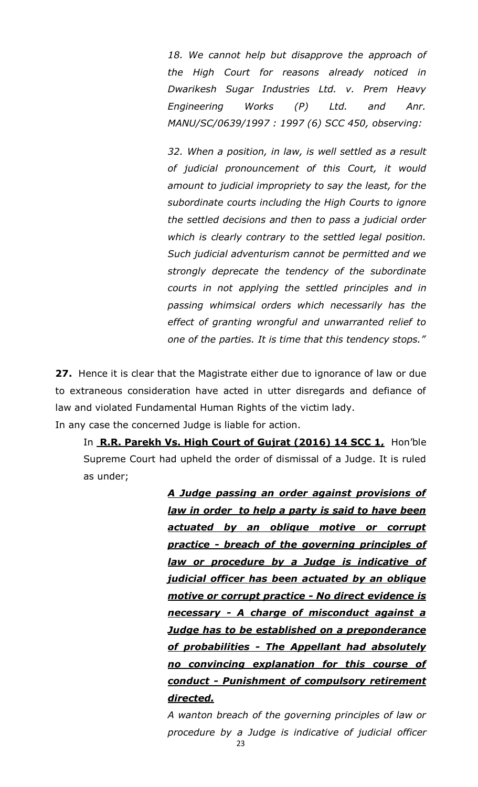*18. We cannot help but disapprove the approach of the High Court for reasons already noticed in Dwarikesh Sugar Industries Ltd. v. Prem Heavy Engineering Works (P) Ltd. and Anr. MANU/SC/0639/1997 : 1997 (6) SCC 450, observing:*

*32. When a position, in law, is well settled as a result of judicial pronouncement of this Court, it would amount to judicial impropriety to say the least, for the subordinate courts including the High Courts to ignore the settled decisions and then to pass a judicial order which is clearly contrary to the settled legal position. Such judicial adventurism cannot be permitted and we strongly deprecate the tendency of the subordinate courts in not applying the settled principles and in passing whimsical orders which necessarily has the effect of granting wrongful and unwarranted relief to one of the parties. It is time that this tendency stops."*

**27.** Hence it is clear that the Magistrate either due to ignorance of law or due to extraneous consideration have acted in utter disregards and defiance of law and violated Fundamental Human Rights of the victim lady.

In any case the concerned Judge is liable for action.

In **R.R. Parekh Vs. High Court of Gujrat (2016) 14 SCC 1,** Hon'ble Supreme Court had upheld the order of dismissal of a Judge. It is ruled as under;

> *A Judge passing an order against provisions of law in order to help a party is said to have been actuated by an oblique motive or corrupt practice - breach of the governing principles of law or procedure by a Judge is indicative of judicial officer has been actuated by an oblique motive or corrupt practice - No direct evidence is necessary - A charge of misconduct against a Judge has to be established on a preponderance of probabilities - The Appellant had absolutely no convincing explanation for this course of conduct - Punishment of compulsory retirement directed.*

> *A wanton breach of the governing principles of law or procedure by a Judge is indicative of judicial officer*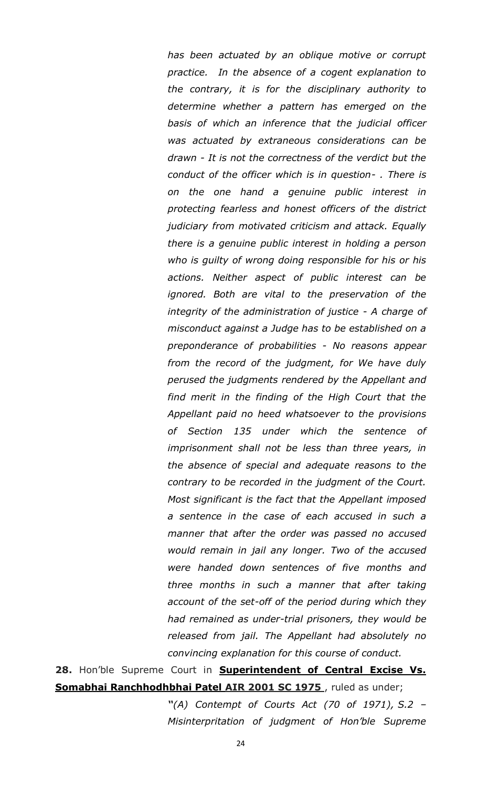*has been actuated by an oblique motive or corrupt practice. In the absence of a cogent explanation to the contrary, it is for the disciplinary authority to determine whether a pattern has emerged on the basis of which an inference that the judicial officer was actuated by extraneous considerations can be drawn - It is not the correctness of the verdict but the conduct of the officer which is in question- . There is on the one hand a genuine public interest in protecting fearless and honest officers of the district judiciary from motivated criticism and attack. Equally there is a genuine public interest in holding a person who is guilty of wrong doing responsible for his or his actions. Neither aspect of public interest can be ignored. Both are vital to the preservation of the integrity of the administration of justice - A charge of misconduct against a Judge has to be established on a preponderance of probabilities - No reasons appear from the record of the judgment, for We have duly perused the judgments rendered by the Appellant and find merit in the finding of the High Court that the Appellant paid no heed whatsoever to the provisions of Section 135 under which the sentence of imprisonment shall not be less than three years, in the absence of special and adequate reasons to the contrary to be recorded in the judgment of the Court. Most significant is the fact that the Appellant imposed a sentence in the case of each accused in such a manner that after the order was passed no accused would remain in jail any longer. Two of the accused were handed down sentences of five months and three months in such a manner that after taking account of the set-off of the period during which they had remained as under-trial prisoners, they would be released from jail. The Appellant had absolutely no convincing explanation for this course of conduct.* 

28. Hon'ble Supreme Court in **Superintendent of Central Excise Vs. Somabhai Ranchhodhbhai Patel AIR 2001 SC 1975** , ruled as under;

> *"(A) Contempt of Courts Act (70 of 1971), S.2 – Misinterpritation of judgment of Hon'ble Supreme*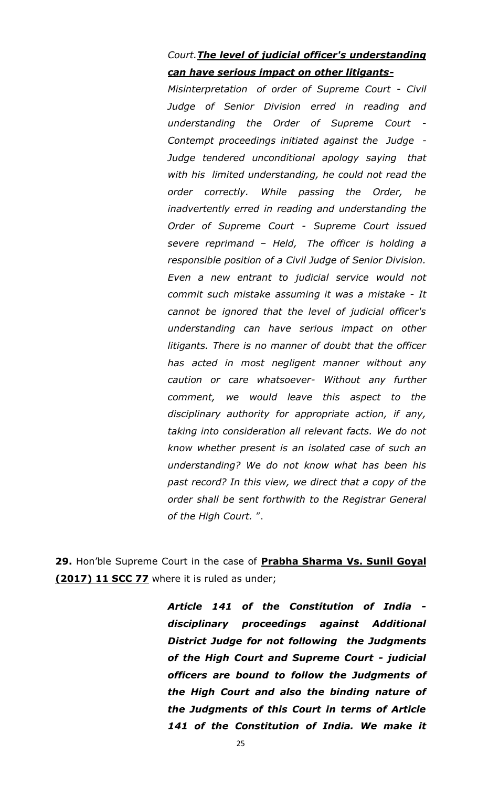# *Court.The level of judicial officer's understanding can have serious impact on other litigants-*

*Misinterpretation of order of Supreme Court - Civil Judge of Senior Division erred in reading and understanding the Order of Supreme Court - Contempt proceedings initiated against the Judge - Judge tendered unconditional apology saying that with his limited understanding, he could not read the order correctly. While passing the Order, he inadvertently erred in reading and understanding the Order of Supreme Court - Supreme Court issued severe reprimand – Held, The officer is holding a responsible position of a Civil Judge of Senior Division. Even a new entrant to judicial service would not commit such mistake assuming it was a mistake - It cannot be ignored that the level of judicial officer's understanding can have serious impact on other litigants. There is no manner of doubt that the officer has acted in most negligent manner without any caution or care whatsoever- Without any further comment, we would leave this aspect to the disciplinary authority for appropriate action, if any, taking into consideration all relevant facts. We do not know whether present is an isolated case of such an understanding? We do not know what has been his past record? In this view, we direct that a copy of the order shall be sent forthwith to the Registrar General of the High Court.* ".

**29.** Hon'ble Supreme Court in the case of **Prabha Sharma Vs. Sunil Goyal (2017) 11 SCC 77** where it is ruled as under;

> *Article 141 of the Constitution of India disciplinary proceedings against Additional District Judge for not following the Judgments of the High Court and Supreme Court - judicial officers are bound to follow the Judgments of the High Court and also the binding nature of the Judgments of this Court in terms of Article 141 of the Constitution of India. We make it*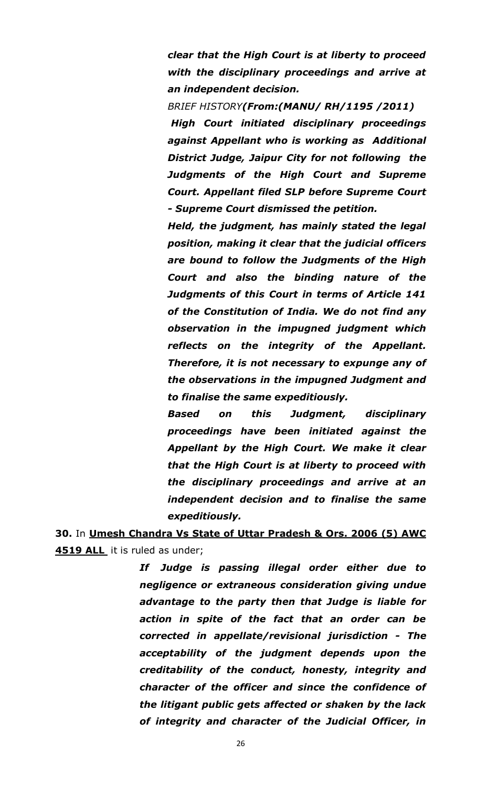*clear that the High Court is at liberty to proceed with the disciplinary proceedings and arrive at an independent decision.*

*BRIEF HISTORY(From:(MANU/ RH/1195 /2011) High Court initiated disciplinary proceedings against Appellant who is working as Additional District Judge, Jaipur City for not following the Judgments of the High Court and Supreme Court. Appellant filed SLP before Supreme Court - Supreme Court dismissed the petition.* 

*Held, the judgment, has mainly stated the legal position, making it clear that the judicial officers are bound to follow the Judgments of the High Court and also the binding nature of the Judgments of this Court in terms of Article 141 of the Constitution of India. We do not find any observation in the impugned judgment which reflects on the integrity of the Appellant. Therefore, it is not necessary to expunge any of the observations in the impugned Judgment and to finalise the same expeditiously.*

*Based on this Judgment, disciplinary proceedings have been initiated against the Appellant by the High Court. We make it clear that the High Court is at liberty to proceed with the disciplinary proceedings and arrive at an independent decision and to finalise the same expeditiously.*

**30.** In **Umesh Chandra Vs State of Uttar Pradesh & Ors. 2006 (5) AWC 4519 ALL** it is ruled as under;

> *If Judge is passing illegal order either due to negligence or extraneous consideration giving undue advantage to the party then that Judge is liable for action in spite of the fact that an order can be corrected in appellate/revisional jurisdiction - The acceptability of the judgment depends upon the creditability of the conduct, honesty, integrity and character of the officer and since the confidence of the litigant public gets affected or shaken by the lack of integrity and character of the Judicial Officer, in*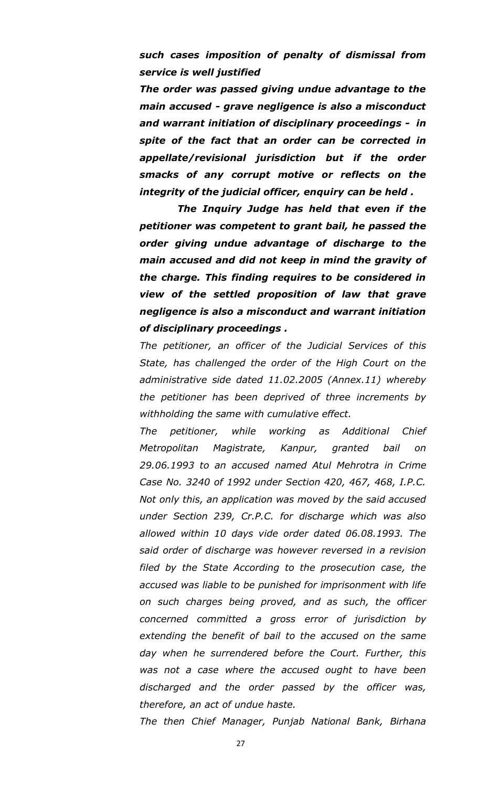### *such cases imposition of penalty of dismissal from service is well justified*

*The order was passed giving undue advantage to the main accused - grave negligence is also a misconduct and warrant initiation of disciplinary proceedings - in spite of the fact that an order can be corrected in appellate/revisional jurisdiction but if the order smacks of any corrupt motive or reflects on the integrity of the judicial officer, enquiry can be held .*

 *The Inquiry Judge has held that even if the petitioner was competent to grant bail, he passed the order giving undue advantage of discharge to the main accused and did not keep in mind the gravity of the charge. This finding requires to be considered in view of the settled proposition of law that grave negligence is also a misconduct and warrant initiation of disciplinary proceedings .*

*The petitioner, an officer of the Judicial Services of this State, has challenged the order of the High Court on the administrative side dated 11.02.2005 (Annex.11) whereby the petitioner has been deprived of three increments by withholding the same with cumulative effect.*

*The petitioner, while working as Additional Chief Metropolitan Magistrate, Kanpur, granted bail on 29.06.1993 to an accused named Atul Mehrotra in Crime Case No. 3240 of 1992 under Section 420, 467, 468, I.P.C. Not only this, an application was moved by the said accused under Section 239, Cr.P.C. for discharge which was also allowed within 10 days vide order dated 06.08.1993. The said order of discharge was however reversed in a revision filed by the State According to the prosecution case, the accused was liable to be punished for imprisonment with life on such charges being proved, and as such, the officer concerned committed a gross error of jurisdiction by extending the benefit of bail to the accused on the same day when he surrendered before the Court. Further, this was not a case where the accused ought to have been discharged and the order passed by the officer was, therefore, an act of undue haste.*

*The then Chief Manager, Punjab National Bank, Birhana*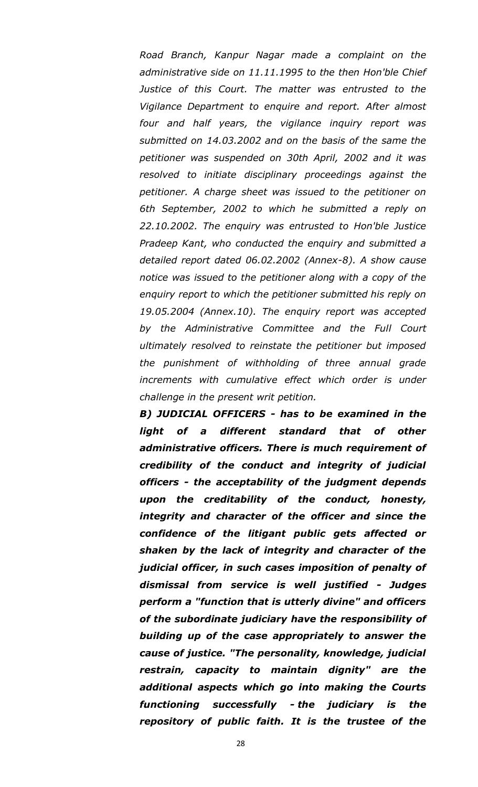*Road Branch, Kanpur Nagar made a complaint on the administrative side on 11.11.1995 to the then Hon'ble Chief*  Justice of this Court. The matter was entrusted to the *Vigilance Department to enquire and report. After almost four and half years, the vigilance inquiry report was submitted on 14.03.2002 and on the basis of the same the petitioner was suspended on 30th April, 2002 and it was resolved to initiate disciplinary proceedings against the petitioner. A charge sheet was issued to the petitioner on 6th September, 2002 to which he submitted a reply on 22.10.2002. The enquiry was entrusted to Hon'ble Justice Pradeep Kant, who conducted the enquiry and submitted a detailed report dated 06.02.2002 (Annex-8). A show cause notice was issued to the petitioner along with a copy of the enquiry report to which the petitioner submitted his reply on 19.05.2004 (Annex.10). The enquiry report was accepted by the Administrative Committee and the Full Court ultimately resolved to reinstate the petitioner but imposed the punishment of withholding of three annual grade increments with cumulative effect which order is under challenge in the present writ petition.*

*B) JUDICIAL OFFICERS - has to be examined in the light of a different standard that of other administrative officers. There is much requirement of credibility of the conduct and integrity of judicial officers - the acceptability of the judgment depends upon the creditability of the conduct, honesty, integrity and character of the officer and since the confidence of the litigant public gets affected or shaken by the lack of integrity and character of the judicial officer, in such cases imposition of penalty of dismissal from service is well justified - Judges perform a "function that is utterly divine" and officers of the subordinate judiciary have the responsibility of building up of the case appropriately to answer the cause of justice. "The personality, knowledge, judicial restrain, capacity to maintain dignity" are the additional aspects which go into making the Courts functioning successfully - the judiciary is the repository of public faith. It is the trustee of the*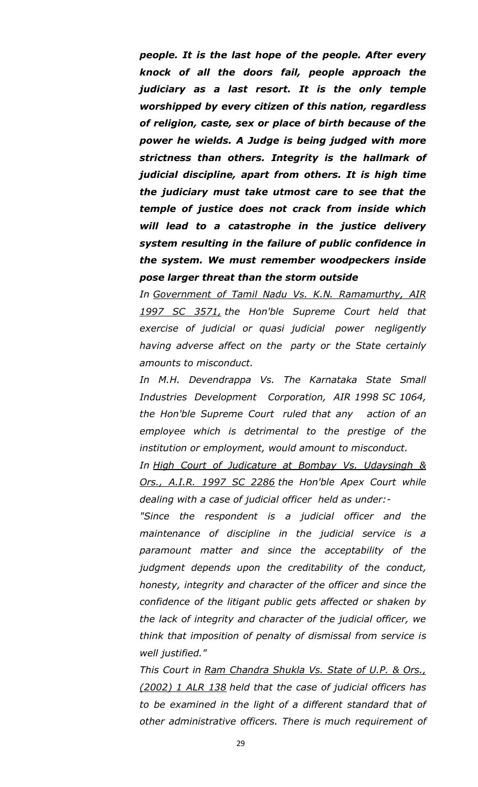*people. It is the last hope of the people. After every knock of all the doors fail, people approach the judiciary as a last resort. It is the only temple worshipped by every citizen of this nation, regardless of religion, caste, sex or place of birth because of the power he wields. A Judge is being judged with more strictness than others. Integrity is the hallmark of judicial discipline, apart from others. It is high time the judiciary must take utmost care to see that the temple of justice does not crack from inside which will lead to a catastrophe in the justice delivery system resulting in the failure of public confidence in the system. We must remember woodpeckers inside pose larger threat than the storm outside*

*In Government of Tamil Nadu Vs. K.N. Ramamurthy, AIR 1997 SC 3571, the Hon'ble Supreme Court held that exercise of judicial or quasi judicial power negligently having adverse affect on the party or the State certainly amounts to misconduct.*

*In M.H. Devendrappa Vs. The Karnataka State Small Industries Development Corporation, AIR 1998 SC 1064, the Hon'ble Supreme Court ruled that any action of an employee which is detrimental to the prestige of the institution or employment, would amount to misconduct.*

*In High Court of Judicature at Bombay Vs. Udaysingh & Ors., A.I.R. 1997 SC 2286 the Hon'ble Apex Court while dealing with a case of judicial officer held as under:-*

*"Since the respondent is a judicial officer and the maintenance of discipline in the judicial service is a paramount matter and since the acceptability of the judgment depends upon the creditability of the conduct, honesty, integrity and character of the officer and since the confidence of the litigant public gets affected or shaken by the lack of integrity and character of the judicial officer, we think that imposition of penalty of dismissal from service is well justified."*

*This Court in Ram Chandra Shukla Vs. State of U.P. & Ors., (2002) 1 ALR 138 held that the case of judicial officers has to be examined in the light of a different standard that of other administrative officers. There is much requirement of*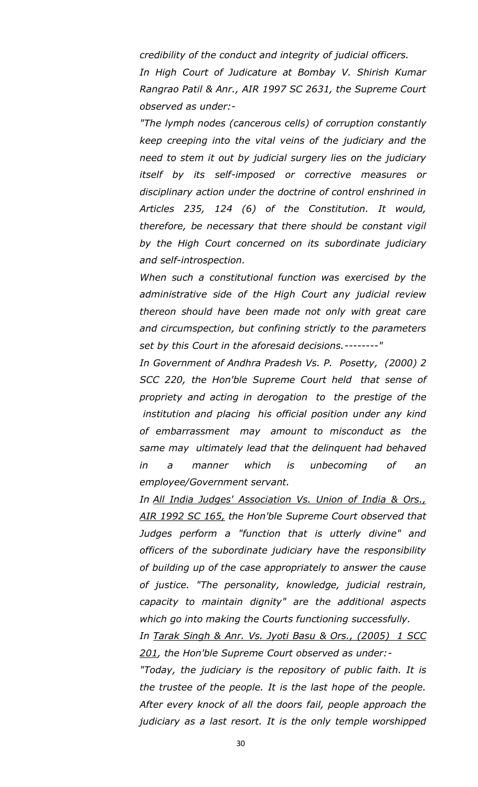*credibility of the conduct and integrity of judicial officers.*

*In High Court of Judicature at Bombay V. Shirish Kumar Rangrao Patil & Anr., AIR 1997 SC 2631, the Supreme Court observed as under:-*

*"The lymph nodes (cancerous cells) of corruption constantly keep creeping into the vital veins of the judiciary and the need to stem it out by judicial surgery lies on the judiciary itself by its self-imposed or corrective measures or disciplinary action under the doctrine of control enshrined in Articles 235, 124 (6) of the Constitution. It would, therefore, be necessary that there should be constant vigil by the High Court concerned on its subordinate judiciary and self-introspection.*

*When such a constitutional function was exercised by the administrative side of the High Court any judicial review thereon should have been made not only with great care and circumspection, but confining strictly to the parameters set by this Court in the aforesaid decisions.--------"*

*In Government of Andhra Pradesh Vs. P. Posetty, (2000) 2 SCC 220, the Hon'ble Supreme Court held that sense of propriety and acting in derogation to the prestige of the institution and placing his official position under any kind of embarrassment may amount to misconduct as the same may ultimately lead that the delinquent had behaved in a manner which is unbecoming of an employee/Government servant.*

*In All India Judges' Association Vs. Union of India & Ors., AIR 1992 SC 165, the Hon'ble Supreme Court observed that Judges perform a "function that is utterly divine" and officers of the subordinate judiciary have the responsibility of building up of the case appropriately to answer the cause of justice. "The personality, knowledge, judicial restrain, capacity to maintain dignity" are the additional aspects which go into making the Courts functioning successfully.*

*In Tarak Singh & Anr. Vs. Jyoti Basu & Ors., (2005) 1 SCC 201, the Hon'ble Supreme Court observed as under:-*

*"Today, the judiciary is the repository of public faith. It is the trustee of the people. It is the last hope of the people. After every knock of all the doors fail, people approach the judiciary as a last resort. It is the only temple worshipped*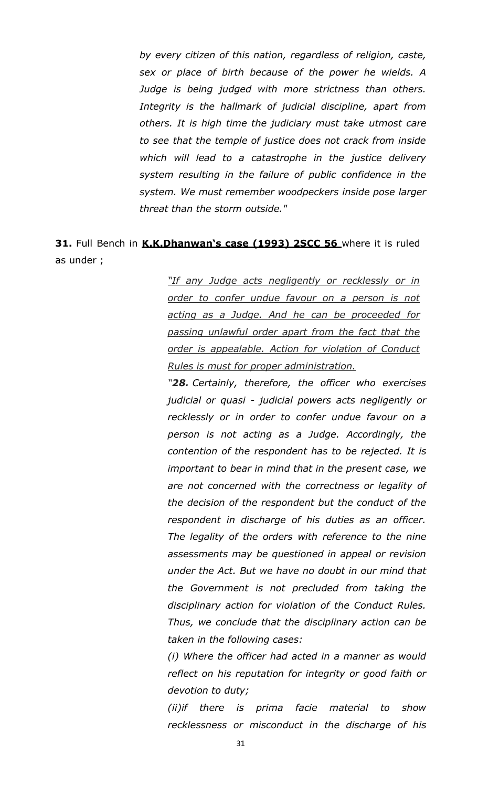*by every citizen of this nation, regardless of religion, caste, sex or place of birth because of the power he wields. A Judge is being judged with more strictness than others. Integrity is the hallmark of judicial discipline, apart from others. It is high time the judiciary must take utmost care to see that the temple of justice does not crack from inside which will lead to a catastrophe in the justice delivery system resulting in the failure of public confidence in the system. We must remember woodpeckers inside pose larger threat than the storm outside."*

# **31.** Full Bench in **K.K.Dhanwan's case (1993) 2SCC 56** where it is ruled as under ;

*"If any Judge acts negligently or recklessly or in order to confer undue favour on a person is not acting as a Judge. And he can be proceeded for passing unlawful order apart from the fact that the order is appealable. Action for violation of Conduct Rules is must for proper administration.*

*"28. Certainly, therefore, the officer who exercises judicial or quasi - judicial powers acts negligently or recklessly or in order to confer undue favour on a person is not acting as a Judge. Accordingly, the contention of the respondent has to be rejected. It is important to bear in mind that in the present case, we are not concerned with the correctness or legality of the decision of the respondent but the conduct of the respondent in discharge of his duties as an officer. The legality of the orders with reference to the nine assessments may be questioned in appeal or revision under the Act. But we have no doubt in our mind that the Government is not precluded from taking the disciplinary action for violation of the Conduct Rules. Thus, we conclude that the disciplinary action can be taken in the following cases:*

*(i) Where the officer had acted in a manner as would reflect on his reputation for integrity or good faith or devotion to duty;*

*(ii)if there is prima facie material to show recklessness or misconduct in the discharge of his*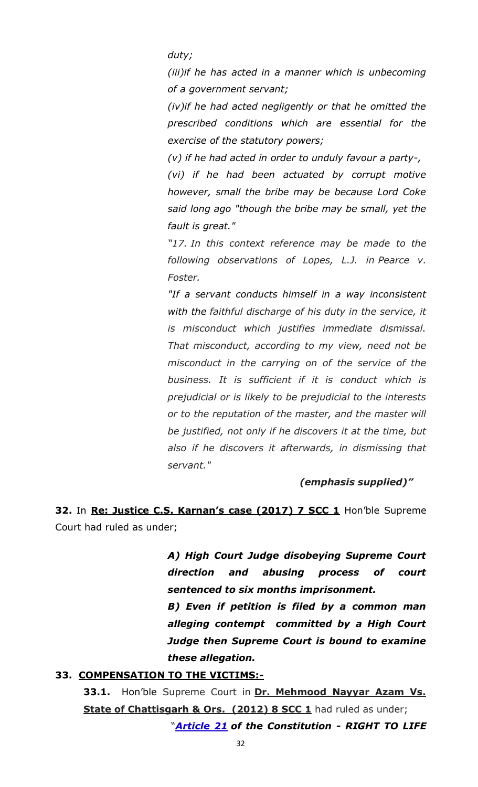*duty;*

*(iii)if he has acted in a manner which is unbecoming of a government servant;*

*(iv)if he had acted negligently or that he omitted the prescribed conditions which are essential for the exercise of the statutory powers;*

*(v) if he had acted in order to unduly favour a party-,*

*(vi) if he had been actuated by corrupt motive however, small the bribe may be because Lord Coke said long ago "though the bribe may be small, yet the fault is great."*

*"17. In this context reference may be made to the following observations of Lopes, L.J. in Pearce v. Foster.*

*"If a servant conducts himself in a way inconsistent with the faithful discharge of his duty in the service, it is misconduct which justifies immediate dismissal. That misconduct, according to my view, need not be misconduct in the carrying on of the service of the business. It is sufficient if it is conduct which is prejudicial or is likely to be prejudicial to the interests or to the reputation of the master, and the master will be justified, not only if he discovers it at the time, but also if he discovers it afterwards, in dismissing that servant."*

#### *(emphasis supplied)"*

**32.** In **Re: Justice C.S. Karnan's case (2017) 7 SCC 1** Hon'ble Supreme Court had ruled as under;

> *A) High Court Judge disobeying Supreme Court direction and abusing process of court sentenced to six months imprisonment.*

> *B) Even if petition is filed by a common man alleging contempt committed by a High Court Judge then Supreme Court is bound to examine these allegation.*

### **33. COMPENSATION TO THE VICTIMS:-**

**33.1.** Hon'ble Supreme Court in **Dr. Mehmood Nayyar Azam Vs. State of Chattisgarh & Ors. (2012) 8 SCC 1** had ruled as under;

"*[Article 21](http://indiankanoon.org/doc/1199182/) of the Constitution - RIGHT TO LIFE*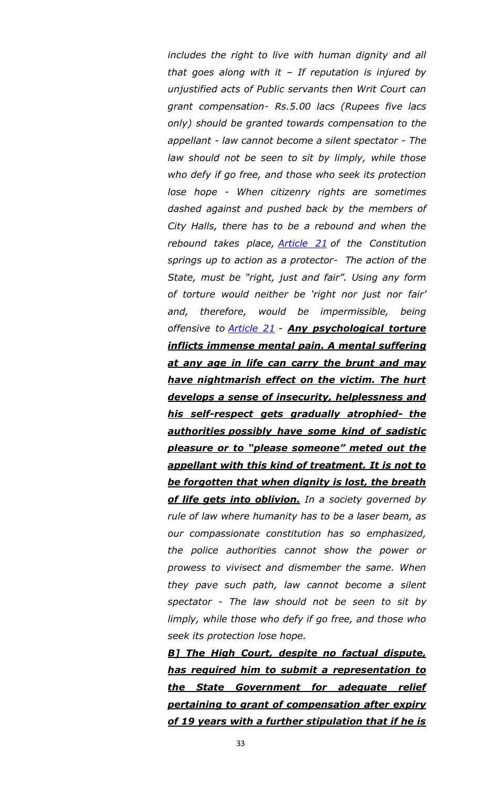*includes the right to live with human dignity and all that goes along with it – If reputation is injured by unjustified acts of Public servants then Writ Court can grant compensation- Rs.5.00 lacs (Rupees five lacs only) should be granted towards compensation to the appellant - law cannot become a silent spectator - The law should not be seen to sit by limply, while those who defy if go free, and those who seek its protection lose hope - When citizenry rights are sometimes dashed against and pushed back by the members of City Halls, there has to be a rebound and when the rebound takes place, [Article 21](http://indiankanoon.org/doc/1199182/) of the Constitution springs up to action as a protector- The action of the State, must be "right, just and fair". Using any form of torture would neither be 'right nor just nor fair' and, therefore, would be impermissible, being offensive to [Article 21](http://indiankanoon.org/doc/1199182/) - Any psychological torture inflicts immense mental pain. A mental suffering at any age in life can carry the brunt and may have nightmarish effect on the victim. The hurt develops a sense of insecurity, helplessness and his self-respect gets gradually atrophied- the authorities possibly have some kind of sadistic pleasure or to "please someone" meted out the appellant with this kind of treatment. It is not to be forgotten that when dignity is lost, the breath of life gets into oblivion. In a society governed by rule of law where humanity has to be a laser beam, as our compassionate constitution has so emphasized, the police authorities cannot show the power or prowess to vivisect and dismember the same. When they pave such path, law cannot become a silent spectator - The law should not be seen to sit by limply, while those who defy if go free, and those who seek its protection lose hope.*

*B] The High Court, despite no factual dispute, has required him to submit a representation to the State Government for adequate relief pertaining to grant of compensation after expiry of 19 years with a further stipulation that if he is*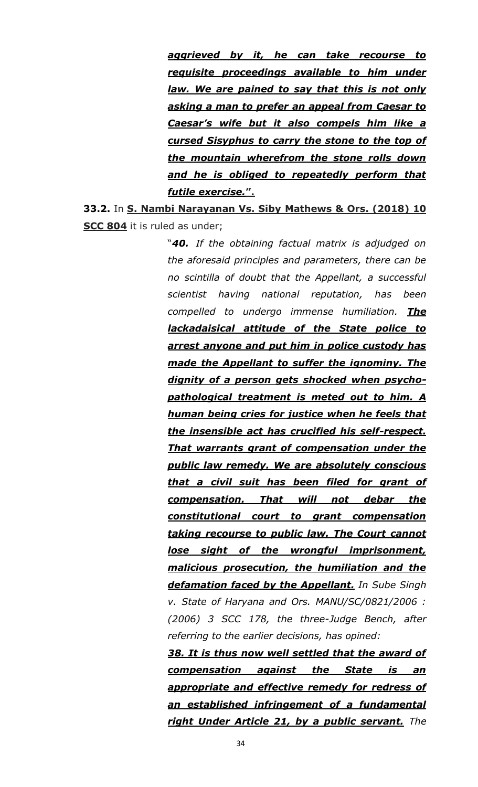*aggrieved by it, he can take recourse to requisite proceedings available to him under law. We are pained to say that this is not only asking a man to prefer an appeal from Caesar to Caesar's wife but it also compels him like a cursed Sisyphus to carry the stone to the top of the mountain wherefrom the stone rolls down and he is obliged to repeatedly perform that futile exercise.***".**

**33.2.** In **S. Nambi Narayanan Vs. Siby Mathews & Ors. (2018) 10 SCC 804** it is ruled as under;

> "*40. If the obtaining factual matrix is adjudged on the aforesaid principles and parameters, there can be no scintilla of doubt that the Appellant, a successful scientist having national reputation, has been compelled to undergo immense humiliation. The lackadaisical attitude of the State police to arrest anyone and put him in police custody has made the Appellant to suffer the ignominy. The dignity of a person gets shocked when psychopathological treatment is meted out to him. A human being cries for justice when he feels that the insensible act has crucified his self-respect. That warrants grant of compensation under the public law remedy. We are absolutely conscious that a civil suit has been filed for grant of compensation. That will not debar the constitutional court to grant compensation taking recourse to public law. The Court cannot lose sight of the wrongful imprisonment, malicious prosecution, the humiliation and the defamation faced by the Appellant. In Sube Singh v. State of Haryana and Ors. MANU/SC/0821/2006 : (2006) 3 SCC 178, the three-Judge Bench, after referring to the earlier decisions, has opined:*

> *38. It is thus now well settled that the award of compensation against the State is an appropriate and effective remedy for redress of an established infringement of a fundamental right Under Article 21, by a public servant. The*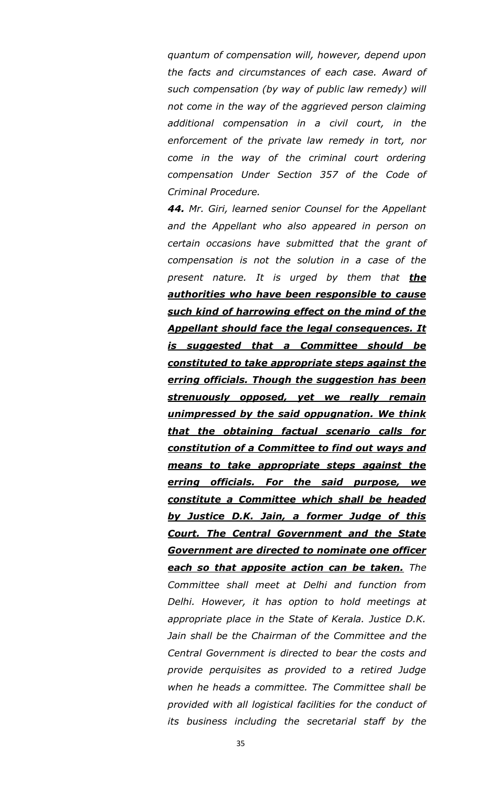*quantum of compensation will, however, depend upon the facts and circumstances of each case. Award of such compensation (by way of public law remedy) will not come in the way of the aggrieved person claiming additional compensation in a civil court, in the enforcement of the private law remedy in tort, nor come in the way of the criminal court ordering compensation Under Section 357 of the Code of Criminal Procedure.*

*44. Mr. Giri, learned senior Counsel for the Appellant and the Appellant who also appeared in person on certain occasions have submitted that the grant of compensation is not the solution in a case of the present nature. It is urged by them that the authorities who have been responsible to cause such kind of harrowing effect on the mind of the Appellant should face the legal consequences. It is suggested that a Committee should be constituted to take appropriate steps against the erring officials. Though the suggestion has been strenuously opposed, yet we really remain unimpressed by the said oppugnation. We think that the obtaining factual scenario calls for constitution of a Committee to find out ways and means to take appropriate steps against the erring officials. For the said purpose, we constitute a Committee which shall be headed by Justice D.K. Jain, a former Judge of this Court. The Central Government and the State Government are directed to nominate one officer each so that apposite action can be taken. The Committee shall meet at Delhi and function from Delhi. However, it has option to hold meetings at appropriate place in the State of Kerala. Justice D.K. Jain shall be the Chairman of the Committee and the Central Government is directed to bear the costs and provide perquisites as provided to a retired Judge when he heads a committee. The Committee shall be provided with all logistical facilities for the conduct of its business including the secretarial staff by the*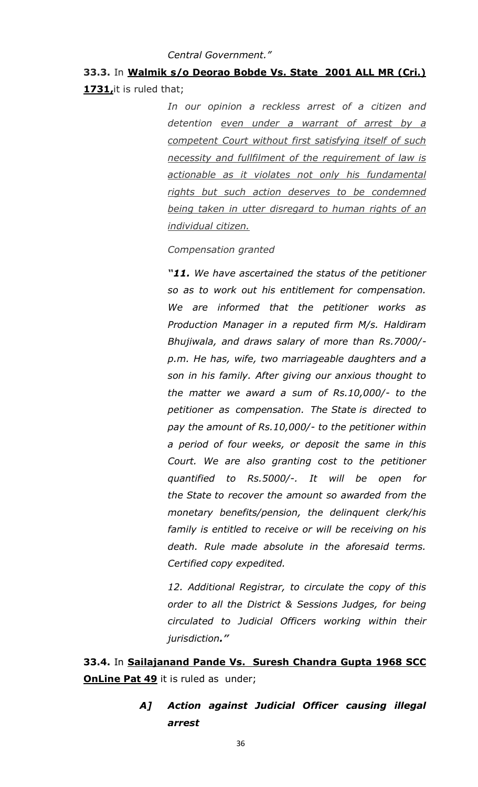#### *Central Government."*

### **33.3.** In **Walmik s/o Deorao Bobde Vs. State 2001 ALL MR (Cri.) 1731,**it is ruled that;

*In our opinion a reckless arrest of a citizen and detention even under a warrant of arrest by a competent Court without first satisfying itself of such necessity and fullfilment of the requirement of law is actionable as it violates not only his fundamental rights but such action deserves to be condemned being taken in utter disregard to human rights of an individual citizen.*

*Compensation granted*

*"11. We have ascertained the status of the petitioner so as to work out his entitlement for compensation. We are informed that the petitioner works as Production Manager in a reputed firm M/s. Haldiram Bhujiwala, and draws salary of more than Rs.7000/ p.m. He has, wife, two marriageable daughters and a son in his family. After giving our anxious thought to the matter we award a sum of Rs.10,000/- to the petitioner as compensation. The State is directed to pay the amount of Rs.10,000/- to the petitioner within a period of four weeks, or deposit the same in this Court. We are also granting cost to the petitioner quantified to Rs.5000/-. It will be open for the State to recover the amount so awarded from the monetary benefits/pension, the delinquent clerk/his family is entitled to receive or will be receiving on his death. Rule made absolute in the aforesaid terms. Certified copy expedited.*

*12. Additional Registrar, to circulate the copy of this order to all the District & Sessions Judges, for being circulated to Judicial Officers working within their jurisdiction."*

**33.4.** In **Sailajanand Pande Vs. Suresh Chandra Gupta 1968 SCC OnLine Pat 49** it is ruled as under;

> *A] Action against Judicial Officer causing illegal arrest*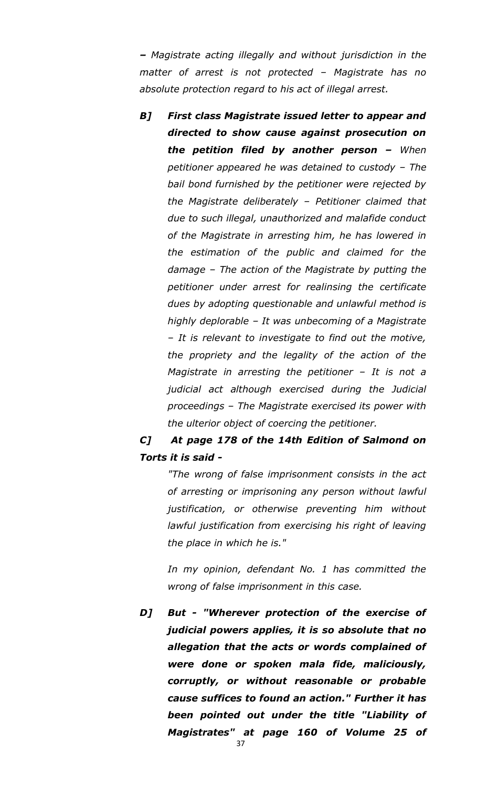*– Magistrate acting illegally and without jurisdiction in the matter of arrest is not protected – Magistrate has no absolute protection regard to his act of illegal arrest.*

*B] First class Magistrate issued letter to appear and directed to show cause against prosecution on the petition filed by another person – When petitioner appeared he was detained to custody – The bail bond furnished by the petitioner were rejected by the Magistrate deliberately – Petitioner claimed that due to such illegal, unauthorized and malafide conduct of the Magistrate in arresting him, he has lowered in the estimation of the public and claimed for the damage – The action of the Magistrate by putting the petitioner under arrest for realinsing the certificate dues by adopting questionable and unlawful method is highly deplorable – It was unbecoming of a Magistrate – It is relevant to investigate to find out the motive, the propriety and the legality of the action of the Magistrate in arresting the petitioner – It is not a judicial act although exercised during the Judicial proceedings – The Magistrate exercised its power with the ulterior object of coercing the petitioner.*

### *C] At page 178 of the 14th Edition of Salmond on Torts it is said -*

*"The wrong of false imprisonment consists in the act of arresting or imprisoning any person without lawful justification, or otherwise preventing him without lawful justification from exercising his right of leaving the place in which he is."*

*In my opinion, defendant No. 1 has committed the wrong of false imprisonment in this case.* 

*D] But - "Wherever protection of the exercise of judicial powers applies, it is so absolute that no allegation that the acts or words complained of were done or spoken mala fide, maliciously, corruptly, or without reasonable or probable cause suffices to found an action." Further it has been pointed out under the title "Liability of Magistrates" at page 160 of Volume 25 of*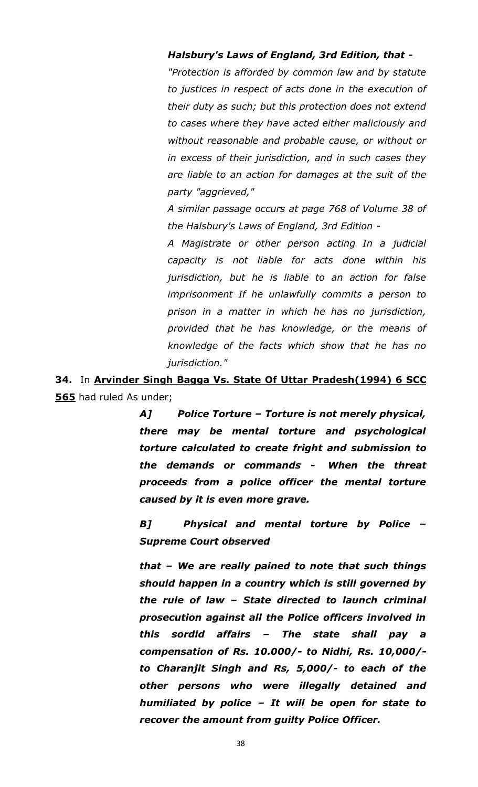#### *Halsbury's Laws of England, 3rd Edition, that -*

*"Protection is afforded by common law and by statute to justices in respect of acts done in the execution of their duty as such; but this protection does not extend to cases where they have acted either maliciously and without reasonable and probable cause, or without or in excess of their jurisdiction, and in such cases they are liable to an action for damages at the suit of the party "aggrieved,"*

*A similar passage occurs at page 768 of Volume 38 of the Halsbury's Laws of England, 3rd Edition -*

*A Magistrate or other person acting In a judicial capacity is not liable for acts done within his jurisdiction, but he is liable to an action for false imprisonment If he unlawfully commits a person to prison in a matter in which he has no jurisdiction, provided that he has knowledge, or the means of knowledge of the facts which show that he has no jurisdiction."*

**34.** In **Arvinder Singh Bagga Vs. State Of Uttar Pradesh(1994) 6 SCC 565** had ruled As under;

> *A] Police Torture – Torture is not merely physical, there may be mental torture and psychological torture calculated to create fright and submission to the demands or commands - When the threat proceeds from a police officer the mental torture caused by it is even more grave.*

> *B] Physical and mental torture by Police – Supreme Court observed*

> *that – We are really pained to note that such things should happen in a country which is still governed by the rule of law – State directed to launch criminal prosecution against all the Police officers involved in this sordid affairs – The state shall pay a compensation of Rs. 10.000/- to Nidhi, Rs. 10,000/ to Charanjit Singh and Rs, 5,000/- to each of the other persons who were illegally detained and humiliated by police – It will be open for state to recover the amount from guilty Police Officer.*